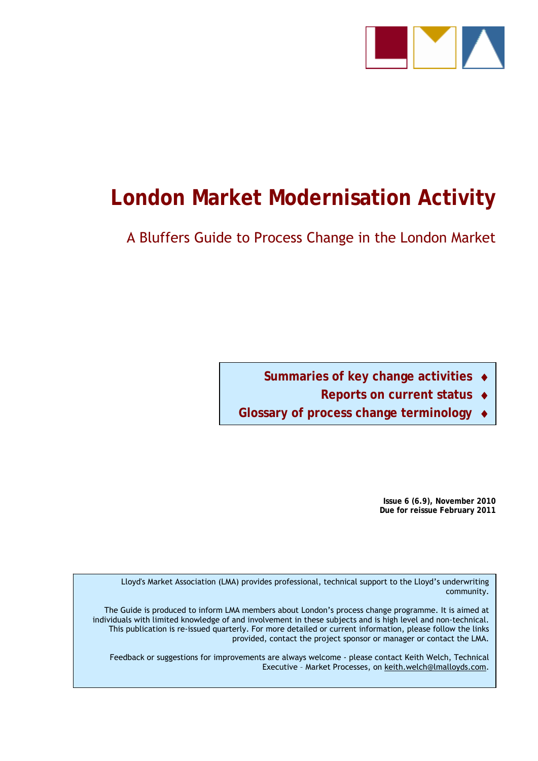

# **London Market Modernisation Activity**

A Bluffers Guide to Process Change in the London Market

**Summaries of key change activities** 

**Reports on current status** 

**Glossary of process change terminology** 

**Issue 6 (6.9), November 2010 Due for reissue February 2011** 

Lloyd's Market Association (LMA) provides professional, technical support to the Lloyd's underwriting community.

The Guide is produced to inform LMA members about London's process change programme. It is aimed at individuals with limited knowledge of and involvement in these subjects and is high level and non-technical. This publication is re-issued quarterly. For more detailed or current information, please follow the links provided, contact the project sponsor or manager or contact the LMA.

Feedback or suggestions for improvements are always welcome - please contact Keith Welch, Technical Executive – Market Processes, on keith.welch@lmalloyds.com.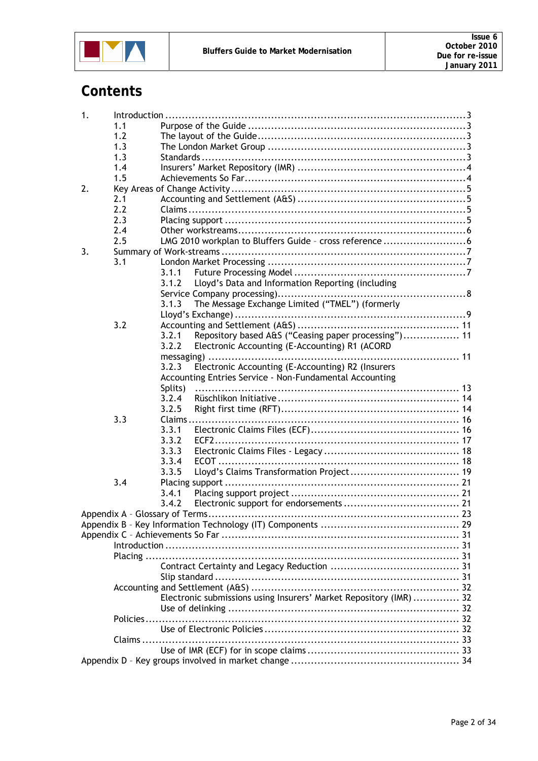

# **Contents**

| 1. |        |                                                                    |  |
|----|--------|--------------------------------------------------------------------|--|
|    | 1.1    |                                                                    |  |
|    | 1.2    |                                                                    |  |
|    | 1.3    |                                                                    |  |
|    | 1.3    |                                                                    |  |
|    | 1.4    |                                                                    |  |
|    | 1.5    |                                                                    |  |
| 2. |        |                                                                    |  |
|    | 2.1    |                                                                    |  |
|    | 2.2    |                                                                    |  |
|    | 2.3    |                                                                    |  |
|    |        |                                                                    |  |
|    | 2.4    |                                                                    |  |
|    | 2.5    |                                                                    |  |
| 3. |        |                                                                    |  |
|    | 3.1    |                                                                    |  |
|    |        | 3.1.1                                                              |  |
|    |        | Lloyd's Data and Information Reporting (including<br>3.1.2         |  |
|    |        |                                                                    |  |
|    |        | The Message Exchange Limited ("TMEL") (formerly<br>3.1.3           |  |
|    |        |                                                                    |  |
|    | 3.2    |                                                                    |  |
|    |        | Repository based A&S ("Ceasing paper processing") 11<br>3.2.1      |  |
|    |        | Electronic Accounting (E-Accounting) R1 (ACORD<br>3.2.2            |  |
|    |        |                                                                    |  |
|    |        | Electronic Accounting (E-Accounting) R2 (Insurers<br>3.2.3         |  |
|    |        | Accounting Entries Service - Non-Fundamental Accounting            |  |
|    |        |                                                                    |  |
|    |        | Splits)                                                            |  |
|    |        | 3.2.4                                                              |  |
|    |        | 3.2.5                                                              |  |
|    | 3.3    | Claims                                                             |  |
|    |        | 3.3.1                                                              |  |
|    |        | 3.3.2<br>$ECF2$                                                    |  |
|    |        | 3.3.3                                                              |  |
|    |        | 3.3.4                                                              |  |
|    |        | 3.3.5                                                              |  |
|    | 3.4    |                                                                    |  |
|    |        | 3.4.1                                                              |  |
|    |        | 3.4.2                                                              |  |
|    |        | Appendix A - Glossary of Terms                                     |  |
|    |        |                                                                    |  |
|    |        |                                                                    |  |
|    |        |                                                                    |  |
|    |        |                                                                    |  |
|    |        |                                                                    |  |
|    |        |                                                                    |  |
|    |        |                                                                    |  |
|    |        |                                                                    |  |
|    |        | Electronic submissions using Insurers' Market Repository (IMR)  32 |  |
|    |        |                                                                    |  |
|    |        |                                                                    |  |
|    |        |                                                                    |  |
|    | Claims |                                                                    |  |
|    |        |                                                                    |  |
|    |        |                                                                    |  |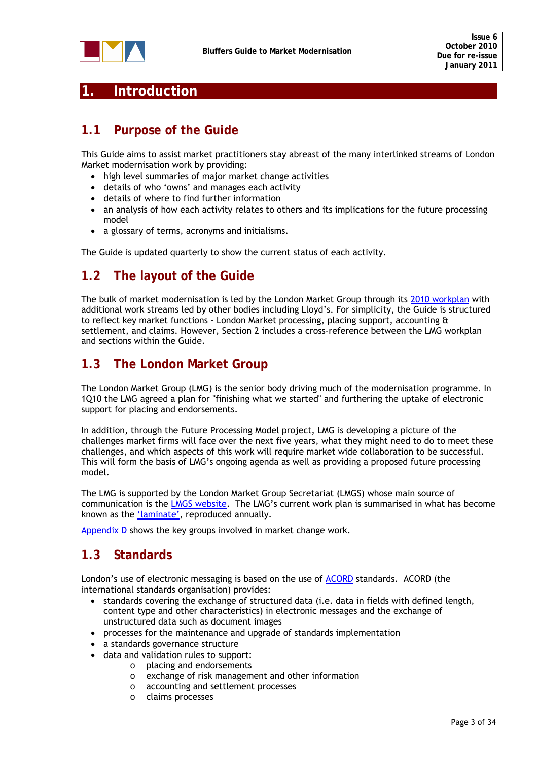

### **1. Introduction**

### **1.1 Purpose of the Guide**

This Guide aims to assist market practitioners stay abreast of the many interlinked streams of London Market modernisation work by providing:

- high level summaries of major market change activities
- details of who 'owns' and manages each activity
- details of where to find further information
- an analysis of how each activity relates to others and its implications for the future processing model
- a glossary of terms, acronyms and initialisms.

The Guide is updated quarterly to show the current status of each activity.

### **1.2 The layout of the Guide**

The bulk of market modernisation is led by the London Market Group through its 2010 workplan with additional work streams led by other bodies including Lloyd's. For simplicity, the Guide is structured to reflect key market functions - London Market processing, placing support, accounting & settlement, and claims. However, Section 2 includes a cross-reference between the LMG workplan and sections within the Guide.

### **1.3 The London Market Group**

The London Market Group (LMG) is the senior body driving much of the modernisation programme. In 1Q10 the LMG agreed a plan for "finishing what we started" and furthering the uptake of electronic support for placing and endorsements.

In addition, through the Future Processing Model project, LMG is developing a picture of the challenges market firms will face over the next five years, what they might need to do to meet these challenges, and which aspects of this work will require market wide collaboration to be successful. This will form the basis of LMG's ongoing agenda as well as providing a proposed future processing model.

The LMG is supported by the London Market Group Secretariat (LMGS) whose main source of communication is the LMGS website. The LMG's current work plan is summarised in what has become known as the 'laminate', reproduced annually.

Appendix D shows the key groups involved in market change work.

### **1.3 Standards**

London's use of electronic messaging is based on the use of ACORD standards. ACORD (the international standards organisation) provides:

- standards covering the exchange of structured data (i.e. data in fields with defined length, content type and other characteristics) in electronic messages and the exchange of unstructured data such as document images
- processes for the maintenance and upgrade of standards implementation
- a standards governance structure
- data and validation rules to support:
	- o placing and endorsements
	- o exchange of risk management and other information
	- o accounting and settlement processes
	- o claims processes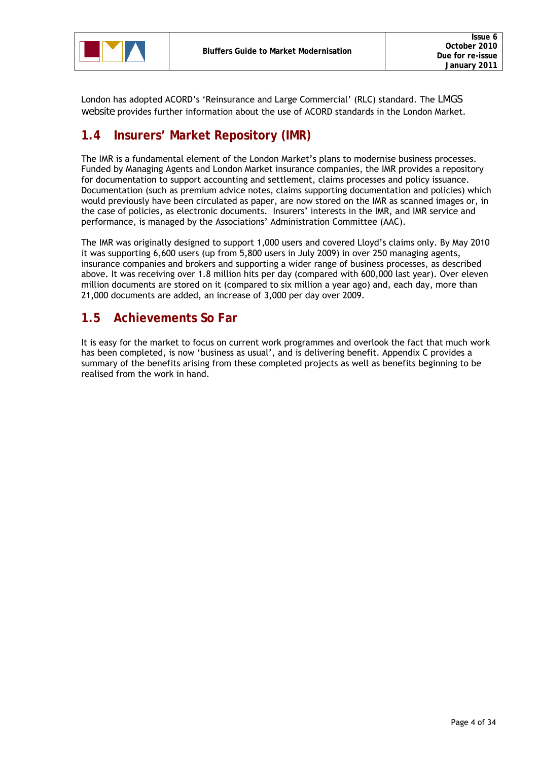

London has adopted ACORD's 'Reinsurance and Large Commercial' (RLC) standard. The LMGS website provides further information about the use of ACORD standards in the London Market.

### **1.4 Insurers' Market Repository (IMR)**

The IMR is a fundamental element of the London Market's plans to modernise business processes. Funded by Managing Agents and London Market insurance companies, the IMR provides a repository for documentation to support accounting and settlement, claims processes and policy issuance. Documentation (such as premium advice notes, claims supporting documentation and policies) which would previously have been circulated as paper, are now stored on the IMR as scanned images or, in the case of policies, as electronic documents. Insurers' interests in the IMR, and IMR service and performance, is managed by the Associations' Administration Committee (AAC).

The IMR was originally designed to support 1,000 users and covered Lloyd's claims only. By May 2010 it was supporting 6,600 users (up from 5,800 users in July 2009) in over 250 managing agents, insurance companies and brokers and supporting a wider range of business processes, as described above. It was receiving over 1.8 million hits per day (compared with 600,000 last year). Over eleven million documents are stored on it (compared to six million a year ago) and, each day, more than 21,000 documents are added, an increase of 3,000 per day over 2009.

### **1.5 Achievements So Far**

It is easy for the market to focus on current work programmes and overlook the fact that much work has been completed, is now 'business as usual', and is delivering benefit. Appendix C provides a summary of the benefits arising from these completed projects as well as benefits beginning to be realised from the work in hand.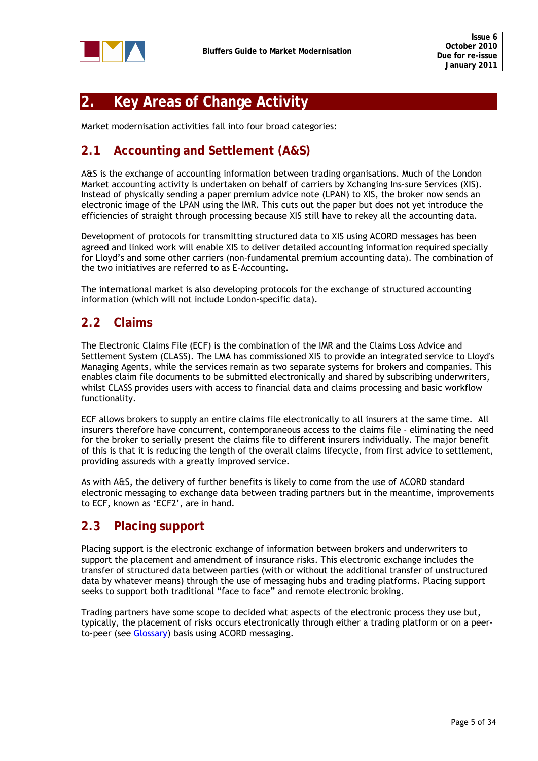

### **2. Key Areas of Change Activity**

Market modernisation activities fall into four broad categories:

### **2.1 Accounting and Settlement (A&S)**

A&S is the exchange of accounting information between trading organisations. Much of the London Market accounting activity is undertaken on behalf of carriers by Xchanging Ins-sure Services (XIS). Instead of physically sending a paper premium advice note (LPAN) to XIS, the broker now sends an electronic image of the LPAN using the IMR. This cuts out the paper but does not yet introduce the efficiencies of straight through processing because XIS still have to rekey all the accounting data.

Development of protocols for transmitting structured data to XIS using ACORD messages has been agreed and linked work will enable XIS to deliver detailed accounting information required specially for Lloyd's and some other carriers (non-fundamental premium accounting data). The combination of the two initiatives are referred to as E-Accounting.

The international market is also developing protocols for the exchange of structured accounting information (which will not include London-specific data).

### **2.2 Claims**

The Electronic Claims File (ECF) is the combination of the IMR and the Claims Loss Advice and Settlement System (CLASS). The LMA has commissioned XIS to provide an integrated service to Lloyd's Managing Agents, while the services remain as two separate systems for brokers and companies. This enables claim file documents to be submitted electronically and shared by subscribing underwriters, whilst CLASS provides users with access to financial data and claims processing and basic workflow functionality.

ECF allows brokers to supply an entire claims file electronically to all insurers at the same time. All insurers therefore have concurrent, contemporaneous access to the claims file - eliminating the need for the broker to serially present the claims file to different insurers individually. The major benefit of this is that it is reducing the length of the overall claims lifecycle, from first advice to settlement, providing assureds with a greatly improved service.

As with A&S, the delivery of further benefits is likely to come from the use of ACORD standard electronic messaging to exchange data between trading partners but in the meantime, improvements to ECF, known as 'ECF2', are in hand.

### **2.3 Placing support**

Placing support is the electronic exchange of information between brokers and underwriters to support the placement and amendment of insurance risks. This electronic exchange includes the transfer of structured data between parties (with or without the additional transfer of unstructured data by whatever means) through the use of messaging hubs and trading platforms. Placing support seeks to support both traditional "face to face" and remote electronic broking.

Trading partners have some scope to decided what aspects of the electronic process they use but, typically, the placement of risks occurs electronically through either a trading platform or on a peerto-peer (see Glossary) basis using ACORD messaging.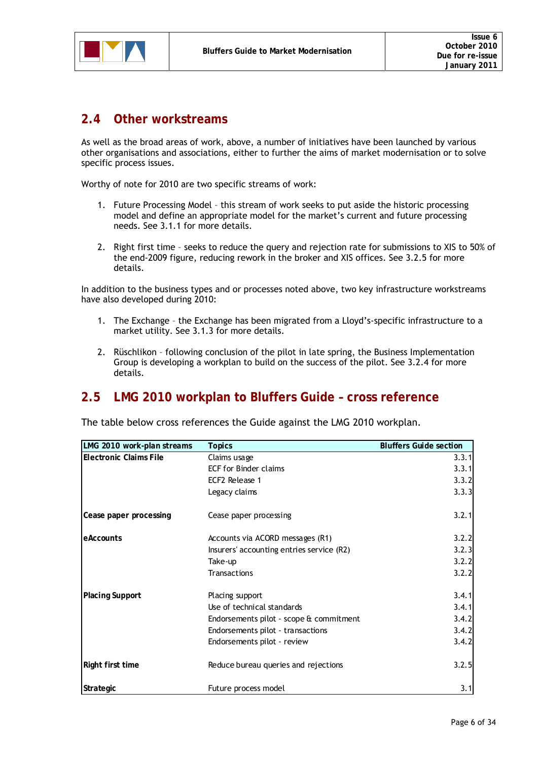

### **2.4 Other workstreams**

As well as the broad areas of work, above, a number of initiatives have been launched by various other organisations and associations, either to further the aims of market modernisation or to solve specific process issues.

Worthy of note for 2010 are two specific streams of work:

- 1. Future Processing Model this stream of work seeks to put aside the historic processing model and define an appropriate model for the market's current and future processing needs. See 3.1.1 for more details.
- 2. Right first time seeks to reduce the query and rejection rate for submissions to XIS to 50% of the end-2009 figure, reducing rework in the broker and XIS offices. See 3.2.5 for more details.

In addition to the business types and or processes noted above, two key infrastructure workstreams have also developed during 2010:

- 1. The Exchange the Exchange has been migrated from a Lloyd's-specific infrastructure to a market utility. See 3.1.3 for more details.
- 2. Rüschlikon following conclusion of the pilot in late spring, the Business Implementation Group is developing a workplan to build on the success of the pilot. See 3.2.4 for more details.

### **2.5 LMG 2010 workplan to Bluffers Guide – cross reference**

The table below cross references the Guide against the LMG 2010 workplan.

| LMG 2010 work-plan streams    | <b>Topics</b>                             | <b>Bluffers Guide section</b> |
|-------------------------------|-------------------------------------------|-------------------------------|
| <b>Electronic Claims File</b> | Claims usage                              | 3.3.1                         |
|                               | <b>ECF for Binder claims</b>              | 3.3.1                         |
|                               | ECF2 Release 1                            | 3.3.2                         |
|                               | Legacy claims                             | 3.3.3                         |
| Cease paper processing        | Cease paper processing                    | 3.2.1                         |
| eAccounts                     | Accounts via ACORD messages (R1)          | 3.2.2                         |
|                               | Insurers' accounting entries service (R2) | 3.2.3                         |
|                               | Take-up                                   | 3.2.2                         |
|                               | <b>Transactions</b>                       | 3.2.2                         |
| <b>Placing Support</b>        | Placing support                           | 3.4.1                         |
|                               | Use of technical standards                | 3.4.1                         |
|                               | Endorsements pilot - scope & commitment   | 3.4.2                         |
|                               | Endorsements pilot - transactions         | 3.4.2                         |
|                               | Endorsements pilot - review               | 3.4.2                         |
| Right first time              | Reduce bureau queries and rejections      | 3.2.5                         |
| <b>Strategic</b>              | Future process model                      | 3.1                           |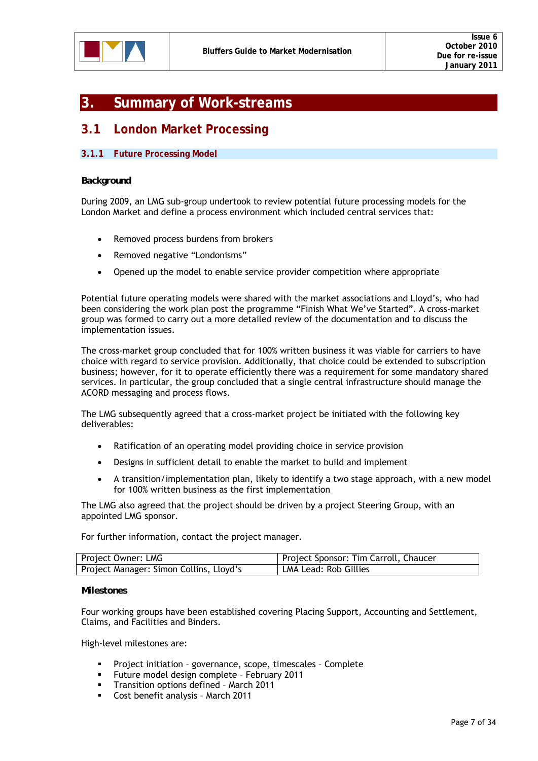

### **3. Summary of Work-streams**

### **3.1 London Market Processing**

#### **3.1.1 Future Processing Model**

#### *Background*

During 2009, an LMG sub-group undertook to review potential future processing models for the London Market and define a process environment which included central services that:

- Removed process burdens from brokers
- Removed negative "Londonisms"
- Opened up the model to enable service provider competition where appropriate

Potential future operating models were shared with the market associations and Lloyd's, who had been considering the work plan post the programme "Finish What We've Started". A cross-market group was formed to carry out a more detailed review of the documentation and to discuss the implementation issues.

The cross-market group concluded that for 100% written business it was viable for carriers to have choice with regard to service provision. Additionally, that choice could be extended to subscription business; however, for it to operate efficiently there was a requirement for some mandatory shared services. In particular, the group concluded that a single central infrastructure should manage the ACORD messaging and process flows.

The LMG subsequently agreed that a cross-market project be initiated with the following key deliverables:

- Ratification of an operating model providing choice in service provision
- Designs in sufficient detail to enable the market to build and implement
- A transition/implementation plan, likely to identify a two stage approach, with a new model for 100% written business as the first implementation

The LMG also agreed that the project should be driven by a project Steering Group, with an appointed LMG sponsor.

For further information, contact the project manager.

| Project Owner: LMG                      | Project Sponsor: Tim Carroll, Chaucer |
|-----------------------------------------|---------------------------------------|
| Project Manager: Simon Collins, Lloyd's | LMA Lead: Rob Gillies                 |

#### *Milestones*

Four working groups have been established covering Placing Support, Accounting and Settlement, Claims, and Facilities and Binders.

High-level milestones are:

- Project initiation governance, scope, timescales Complete
- **Future model design complete February 2011**
- Transition options defined March 2011
- Cost benefit analysis March 2011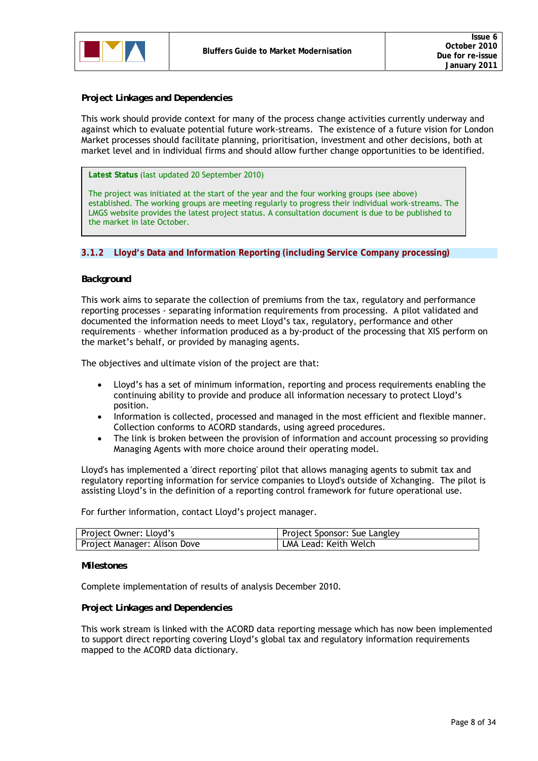

#### *Project Linkages and Dependencies*

This work should provide context for many of the process change activities currently underway and against which to evaluate potential future work-streams. The existence of a future vision for London Market processes should facilitate planning, prioritisation, investment and other decisions, both at market level and in individual firms and should allow further change opportunities to be identified.

#### **Latest Status** (last updated 20 September 2010)

The project was initiated at the start of the year and the four working groups (see above) established. The working groups are meeting regularly to progress their individual work-streams. The LMGS website provides the latest project status. A consultation document is due to be published to the market in late October.

#### **3.1.2 Lloyd's Data and Information Reporting (including Service Company processing)**

#### *Background*

This work aims to separate the collection of premiums from the tax, regulatory and performance reporting processes - separating information requirements from processing. A pilot validated and documented the information needs to meet Lloyd's tax, regulatory, performance and other requirements – whether information produced as a by-product of the processing that XIS perform on the market's behalf, or provided by managing agents.

The objectives and ultimate vision of the project are that:

- Lloyd's has a set of minimum information, reporting and process requirements enabling the continuing ability to provide and produce all information necessary to protect Lloyd's position.
- Information is collected, processed and managed in the most efficient and flexible manner. Collection conforms to ACORD standards, using agreed procedures.
- The link is broken between the provision of information and account processing so providing Managing Agents with more choice around their operating model.

Lloyd's has implemented a 'direct reporting' pilot that allows managing agents to submit tax and regulatory reporting information for service companies to Lloyd's outside of Xchanging. The pilot is assisting Lloyd's in the definition of a reporting control framework for future operational use.

For further information, contact Lloyd's project manager.

| Project Owner: Lloyd's       | Project Sponsor: Sue Langley |
|------------------------------|------------------------------|
| Project Manager: Alison Dove | LMA Lead: Keith Welch        |

#### *Milestones*

Complete implementation of results of analysis December 2010.

#### *Project Linkages and Dependencies*

This work stream is linked with the ACORD data reporting message which has now been implemented to support direct reporting covering Lloyd's global tax and regulatory information requirements mapped to the ACORD data dictionary.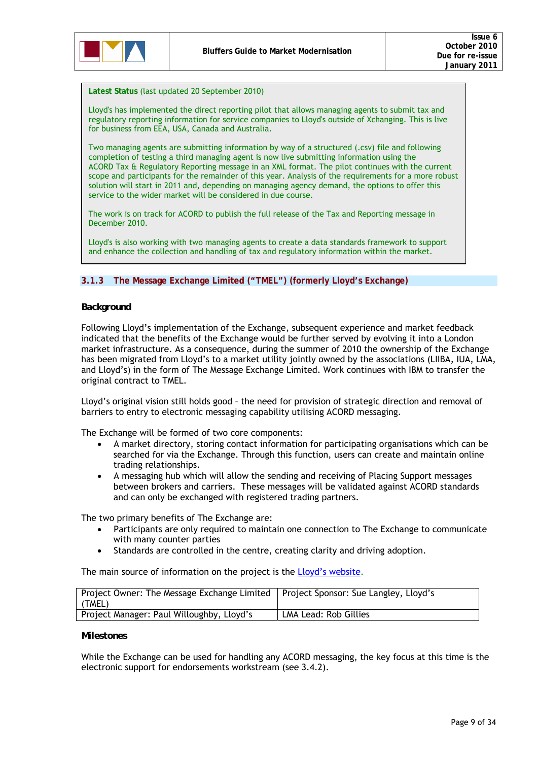**Latest Status** (last updated 20 September 2010)

Lloyd's has implemented the direct reporting pilot that allows managing agents to submit tax and regulatory reporting information for service companies to Lloyd's outside of Xchanging. This is live for business from EEA, USA, Canada and Australia.

Two managing agents are submitting information by way of a structured (.csv) file and following completion of testing a third managing agent is now live submitting information using the ACORD Tax & Regulatory Reporting message in an XML format. The pilot continues with the current scope and participants for the remainder of this year. Analysis of the requirements for a more robust solution will start in 2011 and, depending on managing agency demand, the options to offer this service to the wider market will be considered in due course.

The work is on track for ACORD to publish the full release of the Tax and Reporting message in December 2010.

Lloyd's is also working with two managing agents to create a data standards framework to support and enhance the collection and handling of tax and regulatory information within the market.

#### **3.1.3 The Message Exchange Limited ("TMEL") (formerly Lloyd's Exchange)**

#### *Background*

Following Lloyd's implementation of the Exchange, subsequent experience and market feedback indicated that the benefits of the Exchange would be further served by evolving it into a London market infrastructure. As a consequence, during the summer of 2010 the ownership of the Exchange has been migrated from Lloyd's to a market utility jointly owned by the associations (LIIBA, IUA, LMA, and Lloyd's) in the form of The Message Exchange Limited. Work continues with IBM to transfer the original contract to TMEL.

Lloyd's original vision still holds good – the need for provision of strategic direction and removal of barriers to entry to electronic messaging capability utilising ACORD messaging.

The Exchange will be formed of two core components:

- A market directory, storing contact information for participating organisations which can be searched for via the Exchange. Through this function, users can create and maintain online trading relationships.
- A messaging hub which will allow the sending and receiving of Placing Support messages between brokers and carriers. These messages will be validated against ACORD standards and can only be exchanged with registered trading partners.

The two primary benefits of The Exchange are:

- Participants are only required to maintain one connection to The Exchange to communicate with many counter parties
- Standards are controlled in the centre, creating clarity and driving adoption.

The main source of information on the project is the Lloyd's website.

| Project Owner: The Message Exchange Limited<br>(TMEL) | Project Sponsor: Sue Langley, Lloyd's |
|-------------------------------------------------------|---------------------------------------|
| Project Manager: Paul Willoughby, Lloyd's             | LMA Lead: Rob Gillies                 |

#### *Milestones*

While the Exchange can be used for handling any ACORD messaging, the key focus at this time is the electronic support for endorsements workstream (see 3.4.2).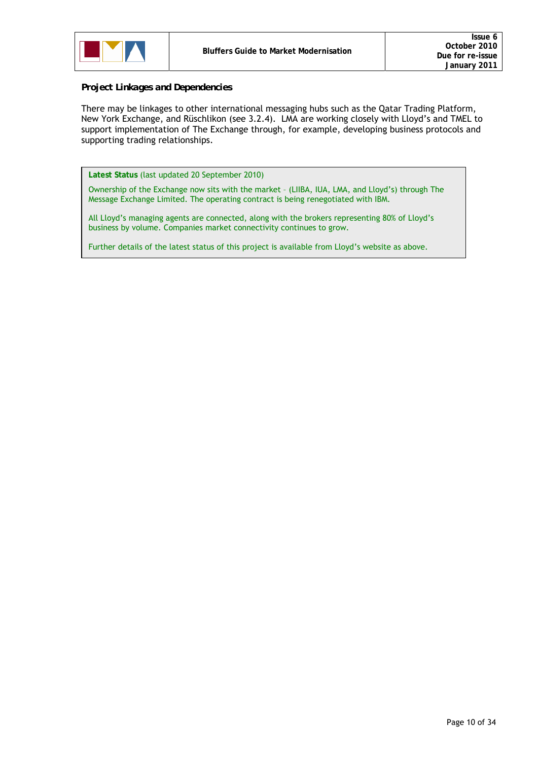

#### *Project Linkages and Dependencies*

There may be linkages to other international messaging hubs such as the Qatar Trading Platform, New York Exchange, and Rüschlikon (see 3.2.4). LMA are working closely with Lloyd's and TMEL to support implementation of The Exchange through, for example, developing business protocols and supporting trading relationships.

**Latest Status** (last updated 20 September 2010)

Ownership of the Exchange now sits with the market – (LIIBA, IUA, LMA, and Lloyd's) through The Message Exchange Limited. The operating contract is being renegotiated with IBM.

All Lloyd's managing agents are connected, along with the brokers representing 80% of Lloyd's business by volume. Companies market connectivity continues to grow.

Further details of the latest status of this project is available from Lloyd's website as above.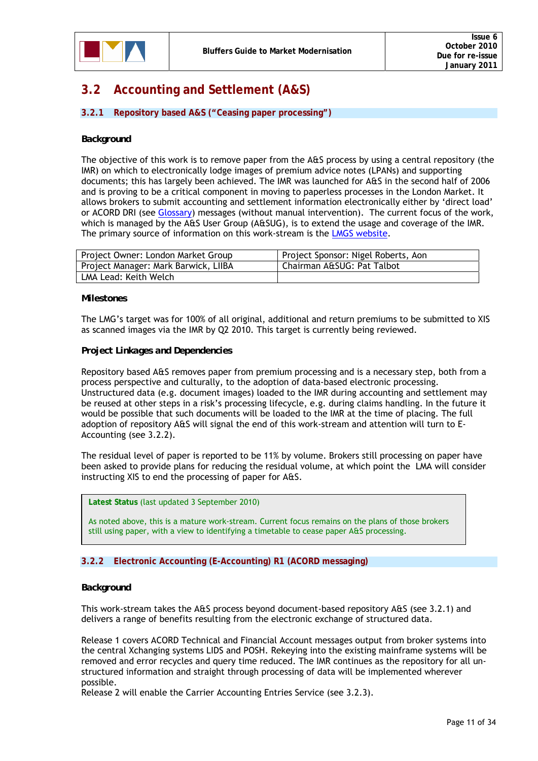

### **3.2 Accounting and Settlement (A&S)**

#### **3.2.1 Repository based A&S ("Ceasing paper processing")**

#### *Background*

The objective of this work is to remove paper from the A&S process by using a central repository (the IMR) on which to electronically lodge images of premium advice notes (LPANs) and supporting documents; this has largely been achieved. The IMR was launched for A&S in the second half of 2006 and is proving to be a critical component in moving to paperless processes in the London Market. It allows brokers to submit accounting and settlement information electronically either by 'direct load' or ACORD DRI (see Glossary) messages (without manual intervention). The current focus of the work, which is managed by the A&S User Group (A&SUG), is to extend the usage and coverage of the IMR. The primary source of information on this work-stream is the LMGS website.

| Project Owner: London Market Group   | Project Sponsor: Nigel Roberts, Aon |
|--------------------------------------|-------------------------------------|
| Project Manager: Mark Barwick, LIIBA | Chairman A&SUG: Pat Talbot          |
| LMA Lead: Keith Welch                |                                     |

#### *Milestones*

The LMG's target was for 100% of all original, additional and return premiums to be submitted to XIS as scanned images via the IMR by Q2 2010. This target is currently being reviewed.

#### *Project Linkages and Dependencies*

Repository based A&S removes paper from premium processing and is a necessary step, both from a process perspective and culturally, to the adoption of data-based electronic processing. Unstructured data (e.g. document images) loaded to the IMR during accounting and settlement may be reused at other steps in a risk's processing lifecycle, e.g. during claims handling. In the future it would be possible that such documents will be loaded to the IMR at the time of placing. The full adoption of repository A&S will signal the end of this work-stream and attention will turn to E-Accounting (see 3.2.2).

The residual level of paper is reported to be 11% by volume. Brokers still processing on paper have been asked to provide plans for reducing the residual volume, at which point the LMA will consider instructing XIS to end the processing of paper for A&S.

#### **Latest Status** (last updated 3 September 2010)

As noted above, this is a mature work-stream. Current focus remains on the plans of those brokers still using paper, with a view to identifying a timetable to cease paper A&S processing.

#### **3.2.2 Electronic Accounting (E-Accounting) R1 (ACORD messaging)**

#### *Background*

This work-stream takes the A&S process beyond document-based repository A&S (see 3.2.1) and delivers a range of benefits resulting from the electronic exchange of structured data.

Release 1 covers ACORD Technical and Financial Account messages output from broker systems into the central Xchanging systems LIDS and POSH. Rekeying into the existing mainframe systems will be removed and error recycles and query time reduced. The IMR continues as the repository for all unstructured information and straight through processing of data will be implemented wherever possible.

Release 2 will enable the Carrier Accounting Entries Service (see 3.2.3).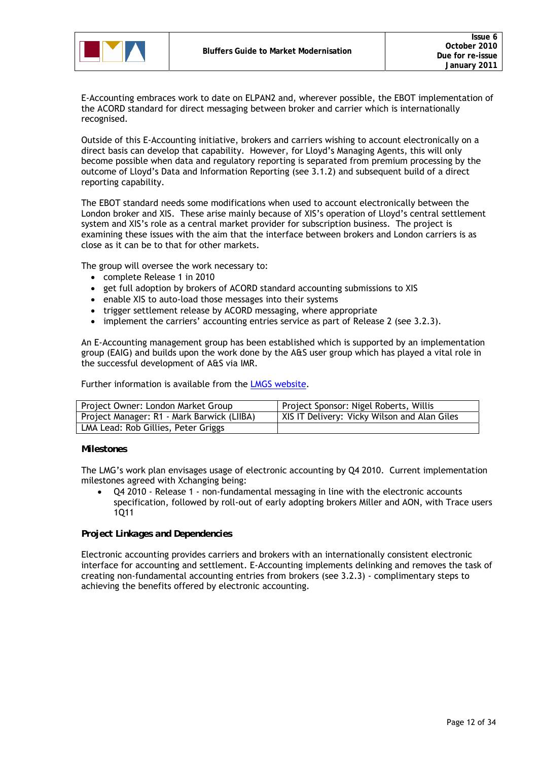

E-Accounting embraces work to date on ELPAN2 and, wherever possible, the EBOT implementation of the ACORD standard for direct messaging between broker and carrier which is internationally recognised.

Outside of this E-Accounting initiative, brokers and carriers wishing to account electronically on a direct basis can develop that capability. However, for Lloyd's Managing Agents, this will only become possible when data and regulatory reporting is separated from premium processing by the outcome of Lloyd's Data and Information Reporting (see 3.1.2) and subsequent build of a direct reporting capability.

The EBOT standard needs some modifications when used to account electronically between the London broker and XIS. These arise mainly because of XIS's operation of Lloyd's central settlement system and XIS's role as a central market provider for subscription business. The project is examining these issues with the aim that the interface between brokers and London carriers is as close as it can be to that for other markets.

The group will oversee the work necessary to:

- complete Release 1 in 2010
- get full adoption by brokers of ACORD standard accounting submissions to XIS
- enable XIS to auto-load those messages into their systems
- trigger settlement release by ACORD messaging, where appropriate
- implement the carriers' accounting entries service as part of Release 2 (see 3.2.3).

An E-Accounting management group has been established which is supported by an implementation group (EAIG) and builds upon the work done by the A&S user group which has played a vital role in the successful development of A&S via IMR.

Further information is available from the LMGS website.

| Project Owner: London Market Group         | Project Sponsor: Nigel Roberts, Willis       |
|--------------------------------------------|----------------------------------------------|
| Project Manager: R1 - Mark Barwick (LIIBA) | XIS IT Delivery: Vicky Wilson and Alan Giles |
| LMA Lead: Rob Gillies, Peter Griggs        |                                              |

#### *Milestones*

The LMG's work plan envisages usage of electronic accounting by Q4 2010. Current implementation milestones agreed with Xchanging being:

• Q4 2010 - Release 1 - non-fundamental messaging in line with the electronic accounts specification, followed by roll-out of early adopting brokers Miller and AON, with Trace users 1Q11

#### *Project Linkages and Dependencies*

Electronic accounting provides carriers and brokers with an internationally consistent electronic interface for accounting and settlement. E-Accounting implements delinking and removes the task of creating non-fundamental accounting entries from brokers (see 3.2.3) - complimentary steps to achieving the benefits offered by electronic accounting.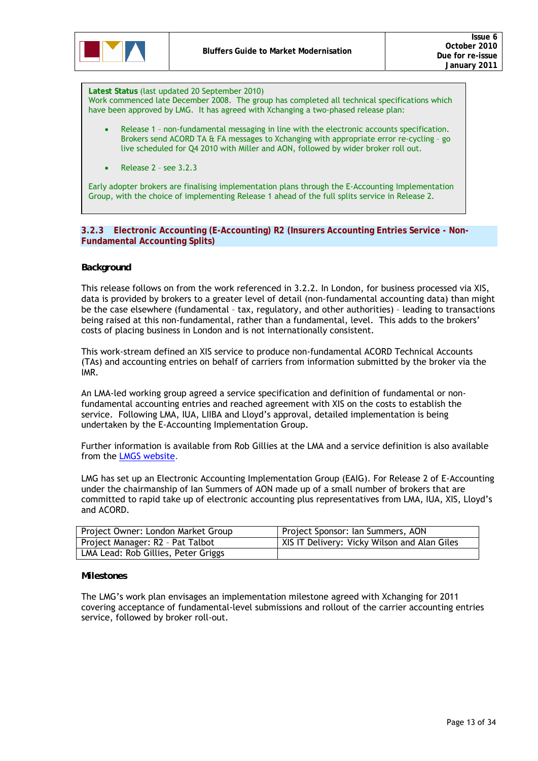

**Latest Status** (last updated 20 September 2010) Work commenced late December 2008. The group has completed all technical specifications which have been approved by LMG. It has agreed with Xchanging a two-phased release plan:

- Release 1 non-fundamental messaging in line with the electronic accounts specification. Brokers send ACORD TA & FA messages to Xchanging with appropriate error re-cycling – go live scheduled for Q4 2010 with Miller and AON, followed by wider broker roll out.
- Release 2 see 3.2.3

Early adopter brokers are finalising implementation plans through the E-Accounting Implementation Group, with the choice of implementing Release 1 ahead of the full splits service in Release 2.

#### **3.2.3 Electronic Accounting (E-Accounting) R2 (Insurers Accounting Entries Service - Non-Fundamental Accounting Splits)**

#### *Background*

This release follows on from the work referenced in 3.2.2. In London, for business processed via XIS, data is provided by brokers to a greater level of detail (non-fundamental accounting data) than might be the case elsewhere (fundamental – tax, regulatory, and other authorities) – leading to transactions being raised at this non-fundamental, rather than a fundamental, level. This adds to the brokers' costs of placing business in London and is not internationally consistent.

This work-stream defined an XIS service to produce non-fundamental ACORD Technical Accounts (TAs) and accounting entries on behalf of carriers from information submitted by the broker via the IMR.

An LMA-led working group agreed a service specification and definition of fundamental or nonfundamental accounting entries and reached agreement with XIS on the costs to establish the service. Following LMA, IUA, LIIBA and Lloyd's approval, detailed implementation is being undertaken by the E-Accounting Implementation Group.

Further information is available from Rob Gillies at the LMA and a service definition is also available from the LMGS website.

LMG has set up an Electronic Accounting Implementation Group (EAIG). For Release 2 of E-Accounting under the chairmanship of Ian Summers of AON made up of a small number of brokers that are committed to rapid take up of electronic accounting plus representatives from LMA, IUA, XIS, Lloyd's and ACORD.

| Project Owner: London Market Group  | Project Sponsor: Ian Summers, AON            |
|-------------------------------------|----------------------------------------------|
| Project Manager: R2 - Pat Talbot    | XIS IT Delivery: Vicky Wilson and Alan Giles |
| LMA Lead: Rob Gillies, Peter Griggs |                                              |

#### *Milestones*

The LMG's work plan envisages an implementation milestone agreed with Xchanging for 2011 covering acceptance of fundamental-level submissions and rollout of the carrier accounting entries service, followed by broker roll-out.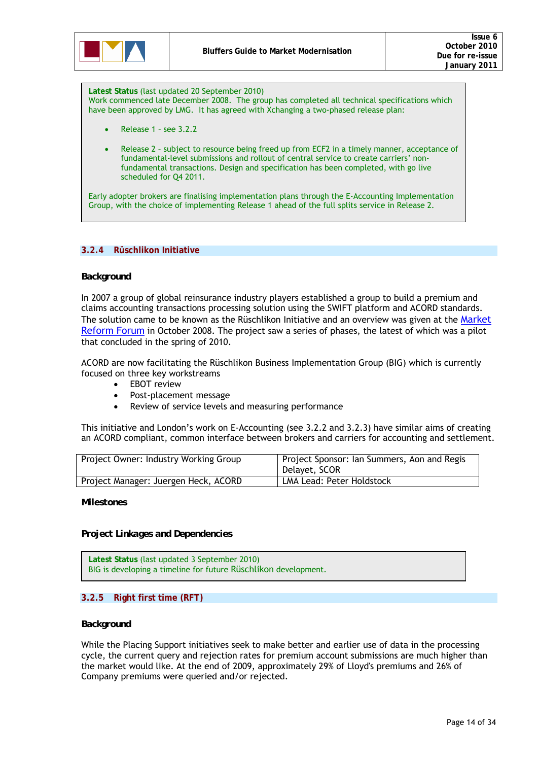

**Latest Status** (last updated 20 September 2010) Work commenced late December 2008. The group has completed all technical specifications which have been approved by LMG. It has agreed with Xchanging a two-phased release plan:

- Release 1 see 3.2.2
- Release 2 subject to resource being freed up from ECF2 in a timely manner, acceptance of fundamental-level submissions and rollout of central service to create carriers' nonfundamental transactions. Design and specification has been completed, with go live scheduled for Q4 2011.

Early adopter brokers are finalising implementation plans through the E-Accounting Implementation Group, with the choice of implementing Release 1 ahead of the full splits service in Release 2.

#### **3.2.4 Rüschlikon Initiative**

#### *Background*

In 2007 a group of global reinsurance industry players established a group to build a premium and claims accounting transactions processing solution using the SWIFT platform and ACORD standards. The solution came to be known as the Rüschlikon Initiative and an overview was given at the Market Reform Forum in October 2008. The project saw a series of phases, the latest of which was a pilot that concluded in the spring of 2010.

ACORD are now facilitating the Rüschlikon Business Implementation Group (BIG) which is currently focused on three key workstreams

- EBOT review
- Post-placement message
- Review of service levels and measuring performance

This initiative and London's work on E-Accounting (see 3.2.2 and 3.2.3) have similar aims of creating an ACORD compliant, common interface between brokers and carriers for accounting and settlement.

| Project Owner: Industry Working Group | Project Sponsor: Ian Summers, Aon and Regis<br>  Delavet, SCOR |
|---------------------------------------|----------------------------------------------------------------|
| Project Manager: Juergen Heck, ACORD  | LMA Lead: Peter Holdstock                                      |

*Milestones* 

*Project Linkages and Dependencies* 

**Latest Status** (last updated 3 September 2010) BIG is developing a timeline for future Rüschlikon development.

#### **3.2.5 Right first time (RFT)**

#### *Background*

While the Placing Support initiatives seek to make better and earlier use of data in the processing cycle, the current query and rejection rates for premium account submissions are much higher than the market would like. At the end of 2009, approximately 29% of Lloyd's premiums and 26% of Company premiums were queried and/or rejected.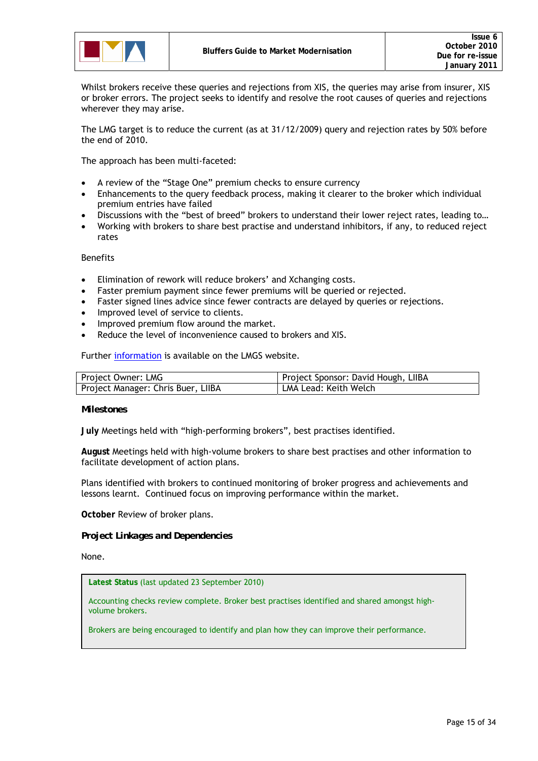

Whilst brokers receive these queries and rejections from XIS, the queries may arise from insurer, XIS or broker errors. The project seeks to identify and resolve the root causes of queries and rejections wherever they may arise.

The LMG target is to reduce the current (as at 31/12/2009) query and rejection rates by 50% before the end of 2010.

The approach has been multi-faceted:

- A review of the "Stage One" premium checks to ensure currency
- Enhancements to the query feedback process, making it clearer to the broker which individual premium entries have failed
- Discussions with the "best of breed" brokers to understand their lower reject rates, leading to…
- Working with brokers to share best practise and understand inhibitors, if any, to reduced reject rates

Benefits

- Elimination of rework will reduce brokers' and Xchanging costs.
- Faster premium payment since fewer premiums will be queried or rejected.
- Faster signed lines advice since fewer contracts are delayed by queries or rejections.
- Improved level of service to clients.
- Improved premium flow around the market.
- Reduce the level of inconvenience caused to brokers and XIS.

Further information is available on the LMGS website.

| Project Owner: LMG                 | Project Sponsor: David Hough, LIIBA |
|------------------------------------|-------------------------------------|
| Project Manager: Chris Buer, LIIBA | LMA Lead: Keith Welch               |

*Milestones* 

**July** Meetings held with "high-performing brokers", best practises identified.

**August** Meetings held with high-volume brokers to share best practises and other information to facilitate development of action plans.

Plans identified with brokers to continued monitoring of broker progress and achievements and lessons learnt. Continued focus on improving performance within the market.

**October** Review of broker plans.

*Project Linkages and Dependencies* 

None.

**Latest Status** (last updated 23 September 2010)

Accounting checks review complete. Broker best practises identified and shared amongst highvolume brokers.

Brokers are being encouraged to identify and plan how they can improve their performance.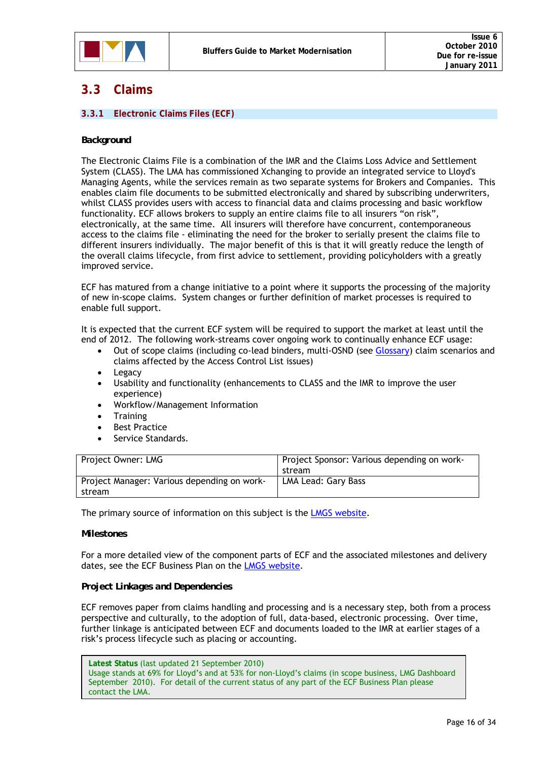

### **3.3 Claims**

#### **3.3.1 Electronic Claims Files (ECF)**

#### *Background*

The Electronic Claims File is a combination of the IMR and the Claims Loss Advice and Settlement System (CLASS). The LMA has commissioned Xchanging to provide an integrated service to Lloyd's Managing Agents, while the services remain as two separate systems for Brokers and Companies. This enables claim file documents to be submitted electronically and shared by subscribing underwriters, whilst CLASS provides users with access to financial data and claims processing and basic workflow functionality. ECF allows brokers to supply an entire claims file to all insurers "on risk", electronically, at the same time. All insurers will therefore have concurrent, contemporaneous access to the claims file - eliminating the need for the broker to serially present the claims file to different insurers individually. The major benefit of this is that it will greatly reduce the length of the overall claims lifecycle, from first advice to settlement, providing policyholders with a greatly improved service.

ECF has matured from a change initiative to a point where it supports the processing of the majority of new in-scope claims. System changes or further definition of market processes is required to enable full support.

It is expected that the current ECF system will be required to support the market at least until the end of 2012. The following work-streams cover ongoing work to continually enhance ECF usage:

- Out of scope claims (including co-lead binders, multi-OSND (see Glossary) claim scenarios and claims affected by the Access Control List issues)
- **Legacy**
- Usability and functionality (enhancements to CLASS and the IMR to improve the user experience)
- Workflow/Management Information
- **Training**
- **Best Practice**
- Service Standards.

| Project Owner: LMG                          | Project Sponsor: Various depending on work- |
|---------------------------------------------|---------------------------------------------|
|                                             | stream                                      |
| Project Manager: Various depending on work- | LMA Lead: Gary Bass                         |
| stream                                      |                                             |

The primary source of information on this subject is the LMGS website.

#### *Milestones*

For a more detailed view of the component parts of ECF and the associated milestones and delivery dates, see the ECF Business Plan on the LMGS website.

#### *Project Linkages and Dependencies*

ECF removes paper from claims handling and processing and is a necessary step, both from a process perspective and culturally, to the adoption of full, data-based, electronic processing. Over time, further linkage is anticipated between ECF and documents loaded to the IMR at earlier stages of a risk's process lifecycle such as placing or accounting.

**Latest Status** (last updated 21 September 2010) Usage stands at 69% for Lloyd's and at 53% for non-Lloyd's claims (in scope business, LMG Dashboard September 2010). For detail of the current status of any part of the ECF Business Plan please contact the LMA.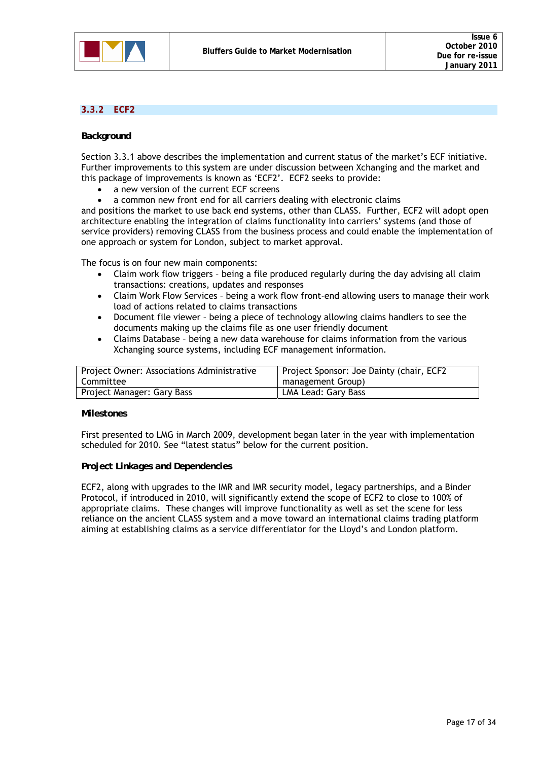

#### **3.3.2 ECF2**

#### *Background*

Section 3.3.1 above describes the implementation and current status of the market's ECF initiative. Further improvements to this system are under discussion between Xchanging and the market and this package of improvements is known as 'ECF2'. ECF2 seeks to provide:

- a new version of the current ECF screens
- a common new front end for all carriers dealing with electronic claims

and positions the market to use back end systems, other than CLASS. Further, ECF2 will adopt open architecture enabling the integration of claims functionality into carriers' systems (and those of service providers) removing CLASS from the business process and could enable the implementation of one approach or system for London, subject to market approval.

The focus is on four new main components:

- Claim work flow triggers being a file produced regularly during the day advising all claim transactions: creations, updates and responses
- Claim Work Flow Services being a work flow front-end allowing users to manage their work load of actions related to claims transactions
- Document file viewer being a piece of technology allowing claims handlers to see the documents making up the claims file as one user friendly document
- Claims Database being a new data warehouse for claims information from the various Xchanging source systems, including ECF management information.

| Project Owner: Associations Administrative | Project Sponsor: Joe Dainty (chair, ECF2) |
|--------------------------------------------|-------------------------------------------|
| I Committee                                | management Group)                         |
| Project Manager: Gary Bass                 | LMA Lead: Gary Bass                       |

#### *Milestones*

First presented to LMG in March 2009, development began later in the year with implementation scheduled for 2010. See "latest status" below for the current position.

#### *Project Linkages and Dependencies*

ECF2, along with upgrades to the IMR and IMR security model, legacy partnerships, and a Binder Protocol, if introduced in 2010, will significantly extend the scope of ECF2 to close to 100% of appropriate claims. These changes will improve functionality as well as set the scene for less reliance on the ancient CLASS system and a move toward an international claims trading platform aiming at establishing claims as a service differentiator for the Lloyd's and London platform.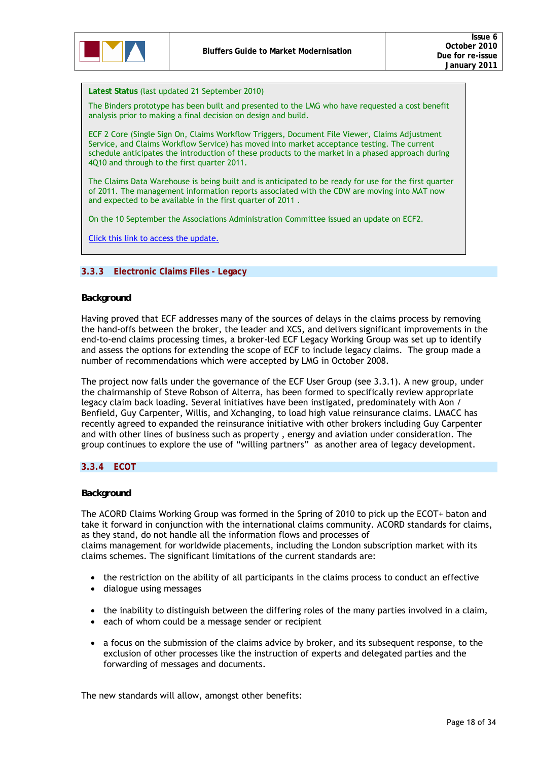**Latest Status** (last updated 21 September 2010)

The Binders prototype has been built and presented to the LMG who have requested a cost benefit analysis prior to making a final decision on design and build.

ECF 2 Core (Single Sign On, Claims Workflow Triggers, Document File Viewer, Claims Adjustment Service, and Claims Workflow Service) has moved into market acceptance testing. The current schedule anticipates the introduction of these products to the market in a phased approach during 4Q10 and through to the first quarter 2011.

The Claims Data Warehouse is being built and is anticipated to be ready for use for the first quarter of 2011. The management information reports associated with the CDW are moving into MAT now and expected to be available in the first quarter of 2011 .

On the 10 September the Associations Administration Committee issued an update on ECF2.

Click this link to access the update.

#### **3.3.3 Electronic Claims Files - Legacy**

#### *Background*

Having proved that ECF addresses many of the sources of delays in the claims process by removing the hand-offs between the broker, the leader and XCS, and delivers significant improvements in the end-to-end claims processing times, a broker-led ECF Legacy Working Group was set up to identify and assess the options for extending the scope of ECF to include legacy claims. The group made a number of recommendations which were accepted by LMG in October 2008.

The project now falls under the governance of the ECF User Group (see 3.3.1). A new group, under the chairmanship of Steve Robson of Alterra, has been formed to specifically review appropriate legacy claim back loading. Several initiatives have been instigated, predominately with Aon / Benfield, Guy Carpenter, Willis, and Xchanging, to load high value reinsurance claims. LMACC has recently agreed to expanded the reinsurance initiative with other brokers including Guy Carpenter and with other lines of business such as property , energy and aviation under consideration. The group continues to explore the use of "willing partners" as another area of legacy development.

#### **3.3.4 ECOT**

#### *Background*

The ACORD Claims Working Group was formed in the Spring of 2010 to pick up the ECOT+ baton and take it forward in conjunction with the international claims community. ACORD standards for claims, as they stand, do not handle all the information flows and processes of claims management for worldwide placements, including the London subscription market with its claims schemes. The significant limitations of the current standards are:

- the restriction on the ability of all participants in the claims process to conduct an effective
- dialogue using messages
- the inability to distinguish between the differing roles of the many parties involved in a claim,
- each of whom could be a message sender or recipient
- a focus on the submission of the claims advice by broker, and its subsequent response, to the exclusion of other processes like the instruction of experts and delegated parties and the forwarding of messages and documents.

The new standards will allow, amongst other benefits: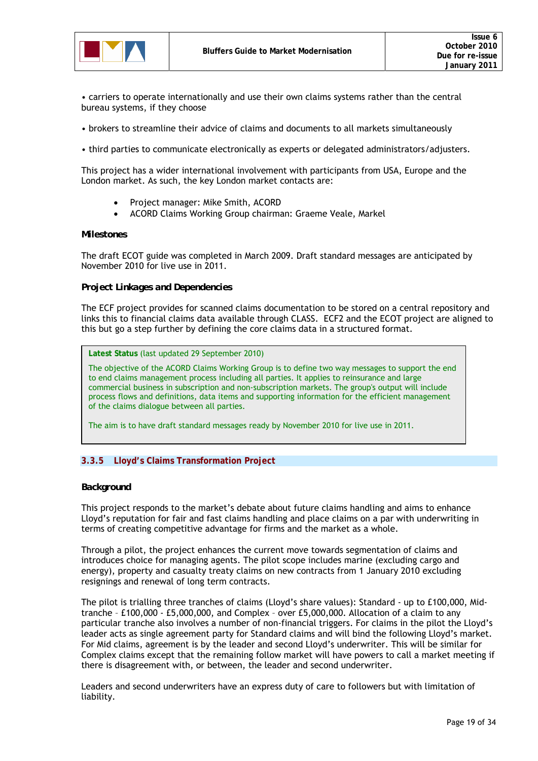

• carriers to operate internationally and use their own claims systems rather than the central bureau systems, if they choose

- brokers to streamline their advice of claims and documents to all markets simultaneously
- third parties to communicate electronically as experts or delegated administrators/adjusters.

This project has a wider international involvement with participants from USA, Europe and the London market. As such, the key London market contacts are:

- Project manager: Mike Smith, ACORD
- ACORD Claims Working Group chairman: Graeme Veale, Markel

#### *Milestones*

The draft ECOT guide was completed in March 2009. Draft standard messages are anticipated by November 2010 for live use in 2011.

#### *Project Linkages and Dependencies*

The ECF project provides for scanned claims documentation to be stored on a central repository and links this to financial claims data available through CLASS. ECF2 and the ECOT project are aligned to this but go a step further by defining the core claims data in a structured format.

#### **Latest Status** (last updated 29 September 2010)

The objective of the ACORD Claims Working Group is to define two way messages to support the end to end claims management process including all parties. It applies to reinsurance and large commercial business in subscription and non-subscription markets. The group's output will include process flows and definitions, data items and supporting information for the efficient management of the claims dialogue between all parties.

The aim is to have draft standard messages ready by November 2010 for live use in 2011.

#### **3.3.5 Lloyd's Claims Transformation Project**

#### *Background*

This project responds to the market's debate about future claims handling and aims to enhance Lloyd's reputation for fair and fast claims handling and place claims on a par with underwriting in terms of creating competitive advantage for firms and the market as a whole.

Through a pilot, the project enhances the current move towards segmentation of claims and introduces choice for managing agents. The pilot scope includes marine (excluding cargo and energy), property and casualty treaty claims on new contracts from 1 January 2010 excluding resignings and renewal of long term contracts.

The pilot is trialling three tranches of claims (Lloyd's share values): Standard - up to £100,000, Midtranche – £100,000 - £5,000,000, and Complex – over £5,000,000. Allocation of a claim to any particular tranche also involves a number of non-financial triggers. For claims in the pilot the Lloyd's leader acts as single agreement party for Standard claims and will bind the following Lloyd's market. For Mid claims, agreement is by the leader and second Lloyd's underwriter. This will be similar for Complex claims except that the remaining follow market will have powers to call a market meeting if there is disagreement with, or between, the leader and second underwriter.

Leaders and second underwriters have an express duty of care to followers but with limitation of liability.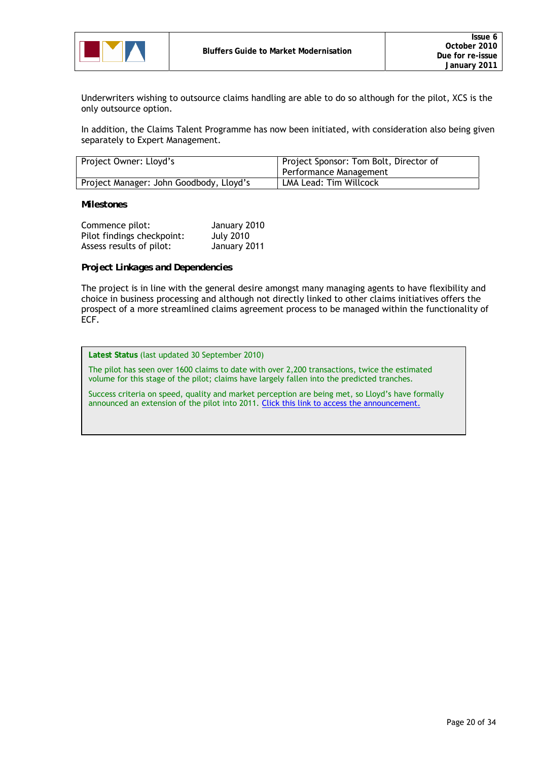

Underwriters wishing to outsource claims handling are able to do so although for the pilot, XCS is the only outsource option.

In addition, the Claims Talent Programme has now been initiated, with consideration also being given separately to Expert Management.

| Project Owner: Lloyd's                  | Project Sponsor: Tom Bolt, Director of |
|-----------------------------------------|----------------------------------------|
|                                         | Performance Management                 |
| Project Manager: John Goodbody, Lloyd's | LMA Lead: Tim Willcock                 |

#### *Milestones*

| Commence pilot:            | January 2010     |
|----------------------------|------------------|
| Pilot findings checkpoint: | <b>July 2010</b> |
| Assess results of pilot:   | January 2011     |

#### *Project Linkages and Dependencies*

The project is in line with the general desire amongst many managing agents to have flexibility and choice in business processing and although not directly linked to other claims initiatives offers the prospect of a more streamlined claims agreement process to be managed within the functionality of ECF.

**Latest Status** (last updated 30 September 2010)

The pilot has seen over 1600 claims to date with over 2,200 transactions, twice the estimated volume for this stage of the pilot; claims have largely fallen into the predicted tranches.

Success criteria on speed, quality and market perception are being met, so Lloyd's have formally announced an extension of the pilot into 2011. Click this link to access the announcement.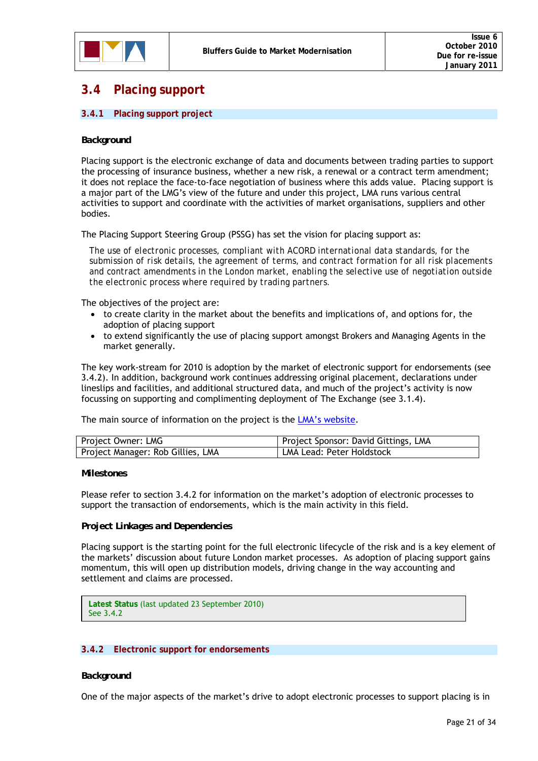

### **3.4 Placing support**

#### **3.4.1 Placing support project**

#### *Background*

Placing support is the electronic exchange of data and documents between trading parties to support the processing of insurance business, whether a new risk, a renewal or a contract term amendment; it does not replace the face-to-face negotiation of business where this adds value. Placing support is a major part of the LMG's view of the future and under this project, LMA runs various central activities to support and coordinate with the activities of market organisations, suppliers and other bodies.

The Placing Support Steering Group (PSSG) has set the vision for placing support as:

*The use of electronic processes, compliant with ACORD international data standards, for the submission of risk details, the agreement of terms, and contract formation for all risk placements and contract amendments in the London market, enabling the selective use of negotiation outside the electronic process where required by trading partners.* 

The objectives of the project are:

- to create clarity in the market about the benefits and implications of, and options for, the adoption of placing support
- to extend significantly the use of placing support amongst Brokers and Managing Agents in the market generally.

The key work-stream for 2010 is adoption by the market of electronic support for endorsements (see 3.4.2). In addition, background work continues addressing original placement, declarations under lineslips and facilities, and additional structured data, and much of the project's activity is now focussing on supporting and complimenting deployment of The Exchange (see 3.1.4).

The main source of information on the project is the **LMA's website**.

| Project Owner: LMG                | Project Sponsor: David Gittings, LMA |
|-----------------------------------|--------------------------------------|
| Project Manager: Rob Gillies, LMA | LMA Lead: Peter Holdstock            |

#### *Milestones*

Please refer to section 3.4.2 for information on the market's adoption of electronic processes to support the transaction of endorsements, which is the main activity in this field.

#### *Project Linkages and Dependencies*

Placing support is the starting point for the full electronic lifecycle of the risk and is a key element of the markets' discussion about future London market processes. As adoption of placing support gains momentum, this will open up distribution models, driving change in the way accounting and settlement and claims are processed.

**Latest Status** (last updated 23 September 2010) See 3.4.2

#### **3.4.2 Electronic support for endorsements**

#### *Background*

One of the major aspects of the market's drive to adopt electronic processes to support placing is in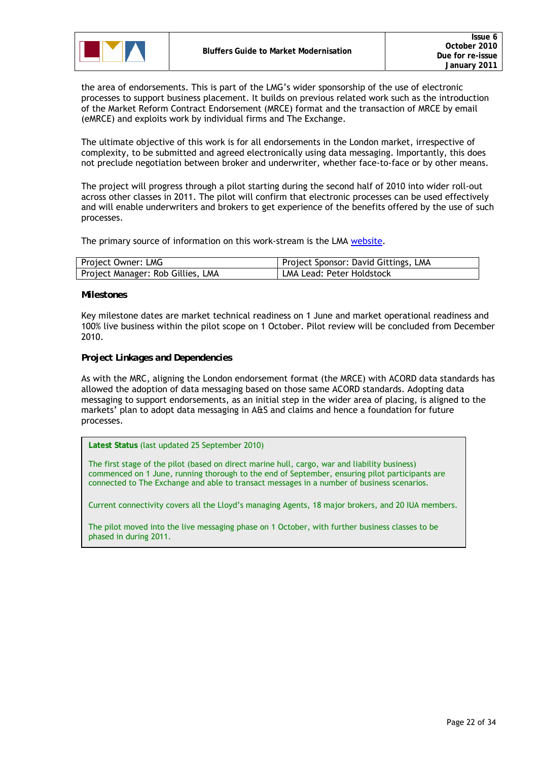

the area of endorsements. This is part of the LMG's wider sponsorship of the use of electronic processes to support business placement. It builds on previous related work such as the introduction of the Market Reform Contract Endorsement (MRCE) format and the transaction of MRCE by email (eMRCE) and exploits work by individual firms and The Exchange.

The ultimate objective of this work is for all endorsements in the London market, irrespective of complexity, to be submitted and agreed electronically using data messaging. Importantly, this does not preclude negotiation between broker and underwriter, whether face-to-face or by other means.

The project will progress through a pilot starting during the second half of 2010 into wider roll-out across other classes in 2011. The pilot will confirm that electronic processes can be used effectively and will enable underwriters and brokers to get experience of the benefits offered by the use of such processes.

The primary source of information on this work-stream is the LMA website.

| Project Owner: LMG                | Project Sponsor: David Gittings, LMA |
|-----------------------------------|--------------------------------------|
| Project Manager: Rob Gillies, LMA | LMA Lead: Peter Holdstock            |

#### *Milestones*

Key milestone dates are market technical readiness on 1 June and market operational readiness and 100% live business within the pilot scope on 1 October. Pilot review will be concluded from December 2010.

#### *Project Linkages and Dependencies*

As with the MRC, aligning the London endorsement format (the MRCE) with ACORD data standards has allowed the adoption of data messaging based on those same ACORD standards. Adopting data messaging to support endorsements, as an initial step in the wider area of placing, is aligned to the markets' plan to adopt data messaging in A&S and claims and hence a foundation for future processes.

**Latest Status** (last updated 25 September 2010)

The first stage of the pilot (based on direct marine hull, cargo, war and liability business) commenced on 1 June, running thorough to the end of September, ensuring pilot participants are connected to The Exchange and able to transact messages in a number of business scenarios.

Current connectivity covers all the Lloyd's managing Agents, 18 major brokers, and 20 IUA members.

The pilot moved into the live messaging phase on 1 October, with further business classes to be phased in during 2011.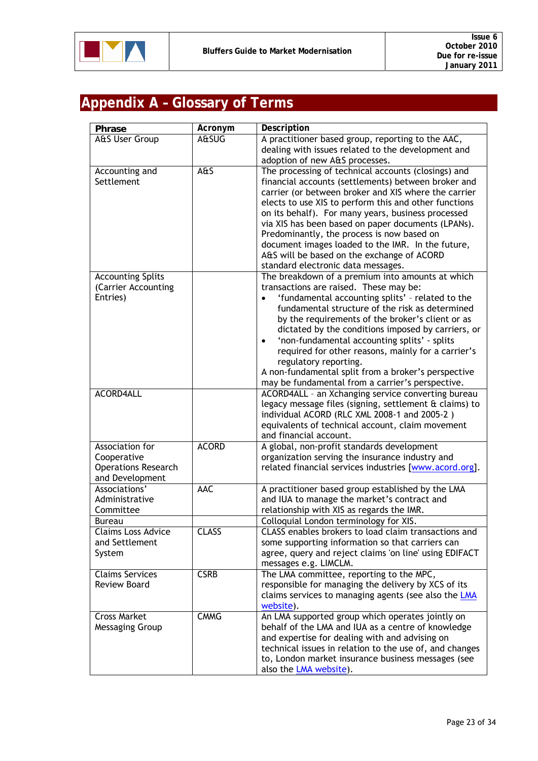

# **Appendix A – Glossary of Terms**

| <b>Phrase</b>              | Acronym      | Description                                             |
|----------------------------|--------------|---------------------------------------------------------|
| A&S User Group             | A&SUG        | A practitioner based group, reporting to the AAC,       |
|                            |              | dealing with issues related to the development and      |
|                            |              | adoption of new A&S processes.                          |
| Accounting and             | A&S          | The processing of technical accounts (closings) and     |
| Settlement                 |              | financial accounts (settlements) between broker and     |
|                            |              | carrier (or between broker and XIS where the carrier    |
|                            |              | elects to use XIS to perform this and other functions   |
|                            |              | on its behalf). For many years, business processed      |
|                            |              | via XIS has been based on paper documents (LPANs).      |
|                            |              | Predominantly, the process is now based on              |
|                            |              | document images loaded to the IMR. In the future,       |
|                            |              | A&S will be based on the exchange of ACORD              |
|                            |              | standard electronic data messages.                      |
| <b>Accounting Splits</b>   |              | The breakdown of a premium into amounts at which        |
| (Carrier Accounting        |              | transactions are raised. These may be:                  |
| Entries)                   |              | 'fundamental accounting splits' - related to the        |
|                            |              | fundamental structure of the risk as determined         |
|                            |              | by the requirements of the broker's client or as        |
|                            |              | dictated by the conditions imposed by carriers, or      |
|                            |              | 'non-fundamental accounting splits' - splits<br>٠       |
|                            |              | required for other reasons, mainly for a carrier's      |
|                            |              | regulatory reporting.                                   |
|                            |              | A non-fundamental split from a broker's perspective     |
|                            |              | may be fundamental from a carrier's perspective.        |
| <b>ACORD4ALL</b>           |              | ACORD4ALL - an Xchanging service converting bureau      |
|                            |              | legacy message files (signing, settlement & claims) to  |
|                            |              | individual ACORD (RLC XML 2008-1 and 2005-2)            |
|                            |              | equivalents of technical account, claim movement        |
|                            |              | and financial account.                                  |
| Association for            | <b>ACORD</b> | A global, non-profit standards development              |
| Cooperative                |              | organization serving the insurance industry and         |
| <b>Operations Research</b> |              | related financial services industries [www.acord.org].  |
| and Development            |              |                                                         |
| Associations'              | <b>AAC</b>   | A practitioner based group established by the LMA       |
| Administrative             |              | and IUA to manage the market's contract and             |
| Committee                  |              | relationship with XIS as regards the IMR.               |
| <b>Bureau</b>              |              | Colloquial London terminology for XIS.                  |
| <b>Claims Loss Advice</b>  | <b>CLASS</b> | CLASS enables brokers to load claim transactions and    |
| and Settlement             |              | some supporting information so that carriers can        |
| System                     |              | agree, query and reject claims 'on line' using EDIFACT  |
|                            |              | messages e.g. LIMCLM.                                   |
| <b>Claims Services</b>     | <b>CSRB</b>  | The LMA committee, reporting to the MPC,                |
| Review Board               |              | responsible for managing the delivery by XCS of its     |
|                            |              | claims services to managing agents (see also the LMA    |
|                            |              | website).                                               |
| <b>Cross Market</b>        | <b>CMMG</b>  | An LMA supported group which operates jointly on        |
| Messaging Group            |              | behalf of the LMA and IUA as a centre of knowledge      |
|                            |              | and expertise for dealing with and advising on          |
|                            |              | technical issues in relation to the use of, and changes |
|                            |              | to, London market insurance business messages (see      |
|                            |              | also the LMA website).                                  |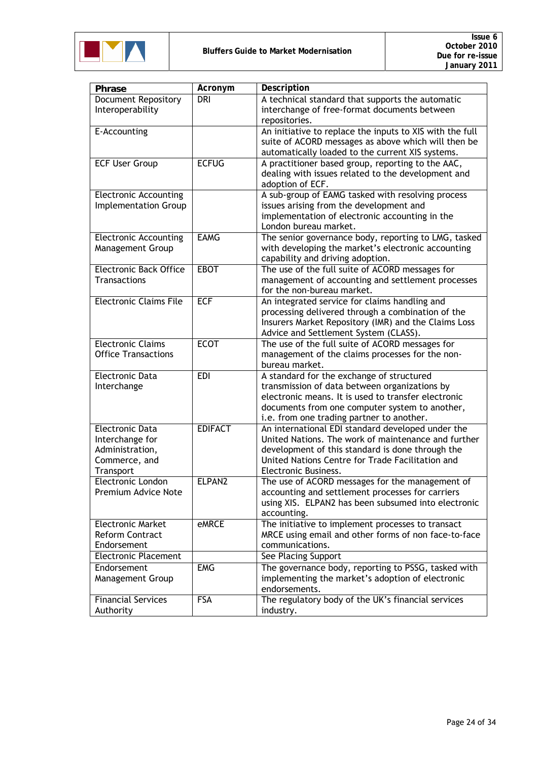

| <b>Phrase</b>                 | Acronym        | Description                                              |
|-------------------------------|----------------|----------------------------------------------------------|
| <b>Document Repository</b>    | DRI            | A technical standard that supports the automatic         |
| Interoperability              |                | interchange of free-format documents between             |
|                               |                | repositories.                                            |
| E-Accounting                  |                | An initiative to replace the inputs to XIS with the full |
|                               |                | suite of ACORD messages as above which will then be      |
|                               |                | automatically loaded to the current XIS systems.         |
| <b>ECF User Group</b>         | <b>ECFUG</b>   | A practitioner based group, reporting to the AAC,        |
|                               |                | dealing with issues related to the development and       |
|                               |                | adoption of ECF.                                         |
| <b>Electronic Accounting</b>  |                | A sub-group of EAMG tasked with resolving process        |
| <b>Implementation Group</b>   |                | issues arising from the development and                  |
|                               |                | implementation of electronic accounting in the           |
|                               |                | London bureau market.                                    |
| <b>Electronic Accounting</b>  | <b>EAMG</b>    | The senior governance body, reporting to LMG, tasked     |
| Management Group              |                | with developing the market's electronic accounting       |
|                               |                | capability and driving adoption.                         |
| <b>Electronic Back Office</b> | <b>EBOT</b>    | The use of the full suite of ACORD messages for          |
| <b>Transactions</b>           |                | management of accounting and settlement processes        |
|                               |                | for the non-bureau market.                               |
| <b>Electronic Claims File</b> | <b>ECF</b>     | An integrated service for claims handling and            |
|                               |                | processing delivered through a combination of the        |
|                               |                | Insurers Market Repository (IMR) and the Claims Loss     |
|                               |                | Advice and Settlement System (CLASS).                    |
| <b>Electronic Claims</b>      | <b>ECOT</b>    | The use of the full suite of ACORD messages for          |
| <b>Office Transactions</b>    |                | management of the claims processes for the non-          |
|                               |                | bureau market.                                           |
|                               |                |                                                          |
| <b>Electronic Data</b>        | <b>EDI</b>     | A standard for the exchange of structured                |
| Interchange                   |                | transmission of data between organizations by            |
|                               |                | electronic means. It is used to transfer electronic      |
|                               |                | documents from one computer system to another,           |
|                               | <b>EDIFACT</b> | i.e. from one trading partner to another.                |
| <b>Electronic Data</b>        |                | An international EDI standard developed under the        |
| Interchange for               |                | United Nations. The work of maintenance and further      |
| Administration,               |                | development of this standard is done through the         |
| Commerce, and                 |                | United Nations Centre for Trade Facilitation and         |
| Transport                     |                | Electronic Business.                                     |
| <b>Electronic London</b>      | ELPAN2         | The use of ACORD messages for the management of          |
| Premium Advice Note           |                | accounting and settlement processes for carriers         |
|                               |                | using XIS. ELPAN2 has been subsumed into electronic      |
|                               |                | accounting.                                              |
| <b>Electronic Market</b>      | eMRCE          | The initiative to implement processes to transact        |
| <b>Reform Contract</b>        |                | MRCE using email and other forms of non face-to-face     |
| Endorsement                   |                | communications.                                          |
| <b>Electronic Placement</b>   |                | See Placing Support                                      |
| Endorsement                   | <b>EMG</b>     | The governance body, reporting to PSSG, tasked with      |
| Management Group              |                | implementing the market's adoption of electronic         |
|                               |                | endorsements.                                            |
| <b>Financial Services</b>     | <b>FSA</b>     | The regulatory body of the UK's financial services       |
| Authority                     |                | industry.                                                |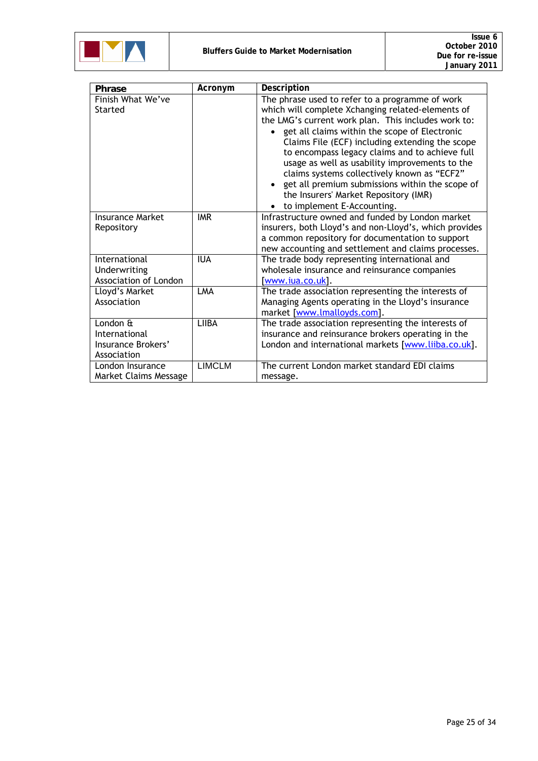

| <b>Phrase</b>                                                                   | Acronym       | Description                                                                                                                                                                                                                                                                                                                                                                                                                                                                                                                                  |
|---------------------------------------------------------------------------------|---------------|----------------------------------------------------------------------------------------------------------------------------------------------------------------------------------------------------------------------------------------------------------------------------------------------------------------------------------------------------------------------------------------------------------------------------------------------------------------------------------------------------------------------------------------------|
| Finish What We've<br>Started                                                    |               | The phrase used to refer to a programme of work<br>which will complete Xchanging related-elements of<br>the LMG's current work plan. This includes work to:<br>get all claims within the scope of Electronic<br>Claims File (ECF) including extending the scope<br>to encompass legacy claims and to achieve full<br>usage as well as usability improvements to the<br>claims systems collectively known as "ECF2"<br>get all premium submissions within the scope of<br>the Insurers' Market Repository (IMR)<br>to implement E-Accounting. |
| <b>Insurance Market</b><br>Repository                                           | <b>IMR</b>    | Infrastructure owned and funded by London market<br>insurers, both Lloyd's and non-Lloyd's, which provides<br>a common repository for documentation to support<br>new accounting and settlement and claims processes.                                                                                                                                                                                                                                                                                                                        |
| International<br>Underwriting<br>Association of London                          | <b>IUA</b>    | The trade body representing international and<br>wholesale insurance and reinsurance companies<br>www.iua.co.uk].                                                                                                                                                                                                                                                                                                                                                                                                                            |
| Lloyd's Market<br>Association                                                   | LMA           | The trade association representing the interests of<br>Managing Agents operating in the Lloyd's insurance<br>market [www.lmalloyds.com].                                                                                                                                                                                                                                                                                                                                                                                                     |
| London $\mathbf{\hat{a}}$<br>International<br>Insurance Brokers'<br>Association | LIIBA         | The trade association representing the interests of<br>insurance and reinsurance brokers operating in the<br>London and international markets [www.liiba.co.uk].                                                                                                                                                                                                                                                                                                                                                                             |
| London Insurance<br>Market Claims Message                                       | <b>LIMCLM</b> | The current London market standard EDI claims<br>message.                                                                                                                                                                                                                                                                                                                                                                                                                                                                                    |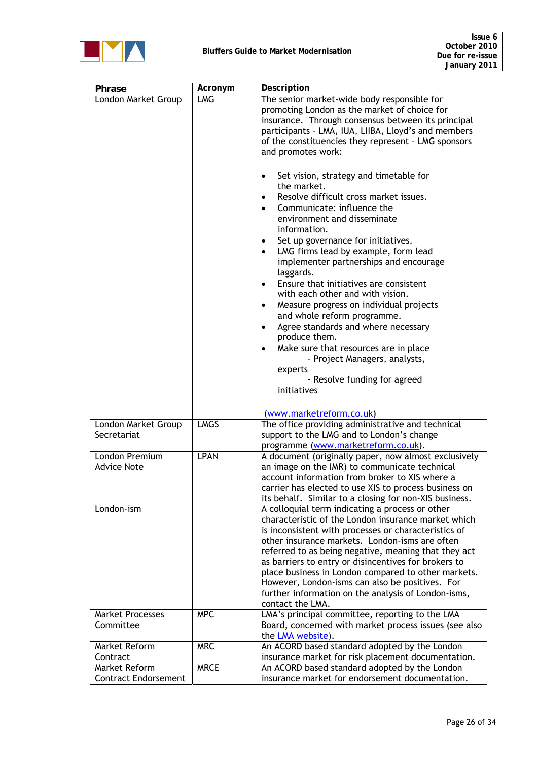

| <b>Phrase</b>               | Acronym     | Description                                                                                            |
|-----------------------------|-------------|--------------------------------------------------------------------------------------------------------|
| London Market Group         | <b>LMG</b>  | The senior market-wide body responsible for                                                            |
|                             |             | promoting London as the market of choice for<br>insurance. Through consensus between its principal     |
|                             |             | participants - LMA, IUA, LIIBA, Lloyd's and members                                                    |
|                             |             | of the constituencies they represent - LMG sponsors                                                    |
|                             |             | and promotes work:                                                                                     |
|                             |             |                                                                                                        |
|                             |             | Set vision, strategy and timetable for<br>$\bullet$                                                    |
|                             |             | the market.                                                                                            |
|                             |             | Resolve difficult cross market issues.<br>$\bullet$                                                    |
|                             |             | Communicate: influence the<br>$\bullet$                                                                |
|                             |             | environment and disseminate<br>information.                                                            |
|                             |             | Set up governance for initiatives.                                                                     |
|                             |             | LMG firms lead by example, form lead<br>$\bullet$                                                      |
|                             |             | implementer partnerships and encourage                                                                 |
|                             |             | laggards.                                                                                              |
|                             |             | Ensure that initiatives are consistent<br>$\bullet$                                                    |
|                             |             | with each other and with vision.                                                                       |
|                             |             | Measure progress on individual projects<br>$\bullet$                                                   |
|                             |             | and whole reform programme.                                                                            |
|                             |             | Agree standards and where necessary<br>$\bullet$                                                       |
|                             |             | produce them.                                                                                          |
|                             |             | Make sure that resources are in place<br>$\bullet$<br>- Project Managers, analysts,                    |
|                             |             | experts                                                                                                |
|                             |             | - Resolve funding for agreed                                                                           |
|                             |             | initiatives                                                                                            |
|                             |             |                                                                                                        |
|                             |             | (www.marketreform.co.uk)                                                                               |
| London Market Group         | <b>LMGS</b> | The office providing administrative and technical                                                      |
| Secretariat                 |             | support to the LMG and to London's change                                                              |
| London Premium              | <b>LPAN</b> | programme (www.marketreform.co.uk).<br>A document (originally paper, now almost exclusively            |
| <b>Advice Note</b>          |             | an image on the IMR) to communicate technical                                                          |
|                             |             | account information from broker to XIS where a                                                         |
|                             |             | carrier has elected to use XIS to process business on                                                  |
|                             |             | its behalf. Similar to a closing for non-XIS business.                                                 |
| London-ism                  |             | A colloquial term indicating a process or other                                                        |
|                             |             | characteristic of the London insurance market which                                                    |
|                             |             | is inconsistent with processes or characteristics of<br>other insurance markets. London-isms are often |
|                             |             | referred to as being negative, meaning that they act                                                   |
|                             |             | as barriers to entry or disincentives for brokers to                                                   |
|                             |             | place business in London compared to other markets.                                                    |
|                             |             | However, London-isms can also be positives. For                                                        |
|                             |             | further information on the analysis of London-isms,                                                    |
|                             |             | contact the LMA.                                                                                       |
| <b>Market Processes</b>     | <b>MPC</b>  | LMA's principal committee, reporting to the LMA                                                        |
| Committee                   |             | Board, concerned with market process issues (see also                                                  |
| Market Reform               | <b>MRC</b>  | the LMA website).<br>An ACORD based standard adopted by the London                                     |
| Contract                    |             | insurance market for risk placement documentation.                                                     |
| Market Reform               | <b>MRCE</b> | An ACORD based standard adopted by the London                                                          |
| <b>Contract Endorsement</b> |             | insurance market for endorsement documentation.                                                        |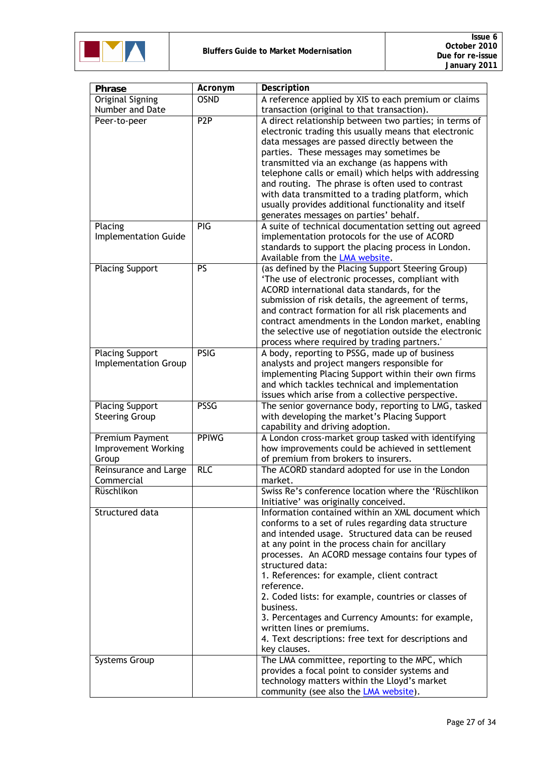

| <b>Phrase</b>                              | Acronym          | Description                                                                                         |
|--------------------------------------------|------------------|-----------------------------------------------------------------------------------------------------|
| <b>Original Signing</b><br>Number and Date | <b>OSND</b>      | A reference applied by XIS to each premium or claims<br>transaction (original to that transaction). |
| Peer-to-peer                               | P2P              | A direct relationship between two parties; in terms of                                              |
|                                            |                  | electronic trading this usually means that electronic                                               |
|                                            |                  | data messages are passed directly between the                                                       |
|                                            |                  | parties. These messages may sometimes be                                                            |
|                                            |                  | transmitted via an exchange (as happens with                                                        |
|                                            |                  | telephone calls or email) which helps with addressing                                               |
|                                            |                  | and routing. The phrase is often used to contrast                                                   |
|                                            |                  | with data transmitted to a trading platform, which                                                  |
|                                            |                  | usually provides additional functionality and itself                                                |
|                                            |                  | generates messages on parties' behalf.                                                              |
| Placing                                    | PIG              | A suite of technical documentation setting out agreed                                               |
| <b>Implementation Guide</b>                |                  | implementation protocols for the use of ACORD                                                       |
|                                            |                  | standards to support the placing process in London.                                                 |
|                                            |                  |                                                                                                     |
|                                            | $\overline{PS}$  | Available from the <b>LMA</b> website.                                                              |
| <b>Placing Support</b>                     |                  | (as defined by the Placing Support Steering Group)                                                  |
|                                            |                  | 'The use of electronic processes, compliant with                                                    |
|                                            |                  | ACORD international data standards, for the                                                         |
|                                            |                  | submission of risk details, the agreement of terms,                                                 |
|                                            |                  | and contract formation for all risk placements and                                                  |
|                                            |                  | contract amendments in the London market, enabling                                                  |
|                                            |                  | the selective use of negotiation outside the electronic                                             |
|                                            |                  | process where required by trading partners.'                                                        |
| <b>Placing Support</b>                     | <b>PSIG</b>      | A body, reporting to PSSG, made up of business                                                      |
| <b>Implementation Group</b>                |                  | analysts and project mangers responsible for                                                        |
|                                            |                  | implementing Placing Support within their own firms                                                 |
|                                            |                  | and which tackles technical and implementation                                                      |
|                                            |                  | issues which arise from a collective perspective.                                                   |
| <b>Placing Support</b>                     | <b>PSSG</b>      | The senior governance body, reporting to LMG, tasked                                                |
| <b>Steering Group</b>                      |                  | with developing the market's Placing Support                                                        |
|                                            |                  | capability and driving adoption.                                                                    |
| Premium Payment                            | <b>PPIWG</b>     | A London cross-market group tasked with identifying                                                 |
| Improvement Working                        |                  | how improvements could be achieved in settlement                                                    |
| Group                                      |                  | of premium from brokers to insurers.                                                                |
| Reinsurance and Large                      | $\overline{RLC}$ | The ACORD standard adopted for use in the London                                                    |
| Commercial                                 |                  | market.                                                                                             |
| Rüschlikon                                 |                  | Swiss Re's conference location where the 'Rüschlikon                                                |
|                                            |                  | Initiative' was originally conceived.                                                               |
| Structured data                            |                  | Information contained within an XML document which                                                  |
|                                            |                  | conforms to a set of rules regarding data structure                                                 |
|                                            |                  | and intended usage. Structured data can be reused                                                   |
|                                            |                  | at any point in the process chain for ancillary                                                     |
|                                            |                  | processes. An ACORD message contains four types of                                                  |
|                                            |                  | structured data:                                                                                    |
|                                            |                  | 1. References: for example, client contract                                                         |
|                                            |                  | reference.                                                                                          |
|                                            |                  | 2. Coded lists: for example, countries or classes of                                                |
|                                            |                  | business.                                                                                           |
|                                            |                  | 3. Percentages and Currency Amounts: for example,                                                   |
|                                            |                  | written lines or premiums.                                                                          |
|                                            |                  | 4. Text descriptions: free text for descriptions and                                                |
|                                            |                  | key clauses.                                                                                        |
| Systems Group                              |                  | The LMA committee, reporting to the MPC, which                                                      |
|                                            |                  | provides a focal point to consider systems and                                                      |
|                                            |                  | technology matters within the Lloyd's market                                                        |
|                                            |                  | community (see also the <b>LMA</b> website).                                                        |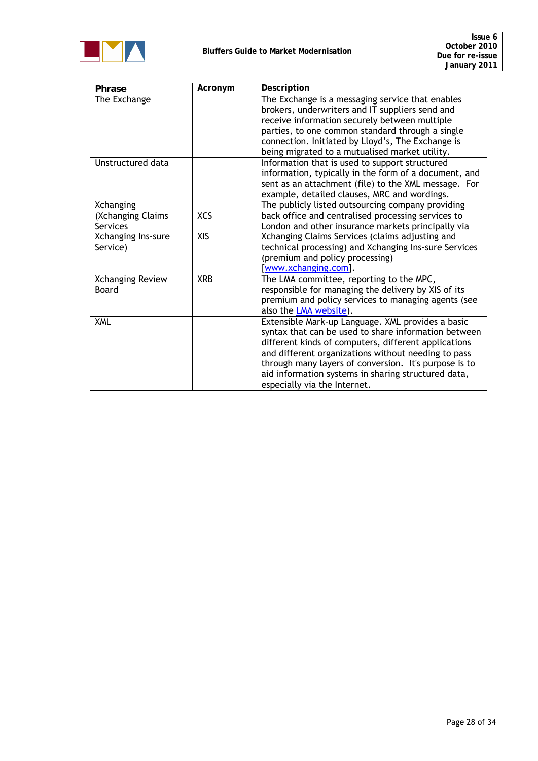

| <b>Phrase</b>           | Acronym    | Description                                           |
|-------------------------|------------|-------------------------------------------------------|
| The Exchange            |            | The Exchange is a messaging service that enables      |
|                         |            | brokers, underwriters and IT suppliers send and       |
|                         |            | receive information securely between multiple         |
|                         |            | parties, to one common standard through a single      |
|                         |            | connection. Initiated by Lloyd's, The Exchange is     |
|                         |            | being migrated to a mutualised market utility.        |
| Unstructured data       |            | Information that is used to support structured        |
|                         |            | information, typically in the form of a document, and |
|                         |            | sent as an attachment (file) to the XML message. For  |
|                         |            | example, detailed clauses, MRC and wordings.          |
| Xchanging               |            | The publicly listed outsourcing company providing     |
| (Xchanging Claims       | <b>XCS</b> | back office and centralised processing services to    |
| <b>Services</b>         |            | London and other insurance markets principally via    |
| Xchanging Ins-sure      | <b>XIS</b> | Xchanging Claims Services (claims adjusting and       |
| Service)                |            | technical processing) and Xchanging Ins-sure Services |
|                         |            | (premium and policy processing)                       |
|                         |            | [www.xchanging.com].                                  |
| <b>Xchanging Review</b> | XRB        | The LMA committee, reporting to the MPC,              |
| Board                   |            | responsible for managing the delivery by XIS of its   |
|                         |            | premium and policy services to managing agents (see   |
|                         |            | also the <b>LMA</b> website).                         |
| <b>XML</b>              |            | Extensible Mark-up Language. XML provides a basic     |
|                         |            | syntax that can be used to share information between  |
|                         |            | different kinds of computers, different applications  |
|                         |            | and different organizations without needing to pass   |
|                         |            | through many layers of conversion. It's purpose is to |
|                         |            | aid information systems in sharing structured data,   |
|                         |            | especially via the Internet.                          |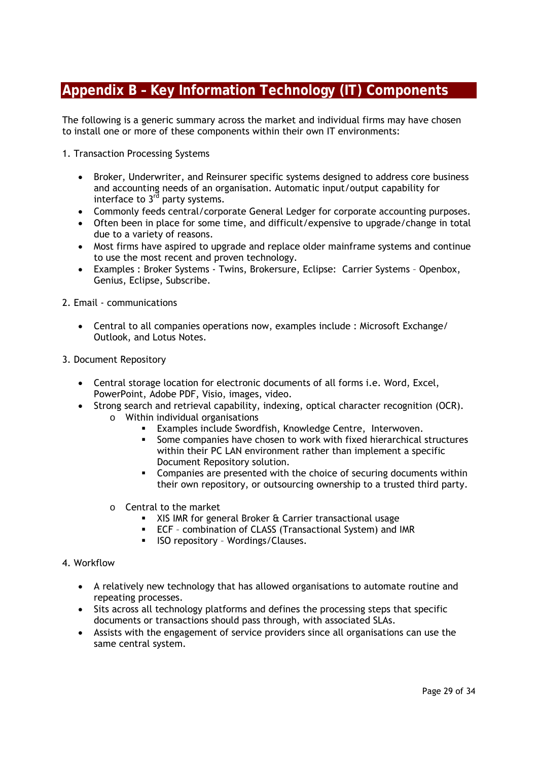## **Appendix B – Key Information Technology (IT) Components**

The following is a generic summary across the market and individual firms may have chosen to install one or more of these components within their own IT environments:

1. Transaction Processing Systems

- Broker, Underwriter, and Reinsurer specific systems designed to address core business and accounting needs of an organisation. Automatic input/output capability for interface to  $3<sup>rd</sup>$  party systems.
- Commonly feeds central/corporate General Ledger for corporate accounting purposes.
- Often been in place for some time, and difficult/expensive to upgrade/change in total due to a variety of reasons.
- Most firms have aspired to upgrade and replace older mainframe systems and continue to use the most recent and proven technology.
- Examples : Broker Systems Twins, Brokersure, Eclipse: Carrier Systems Openbox, Genius, Eclipse, Subscribe.

2. Email - communications

- Central to all companies operations now, examples include : Microsoft Exchange/ Outlook, and Lotus Notes.
- 3. Document Repository
	- Central storage location for electronic documents of all forms i.e. Word, Excel, PowerPoint, Adobe PDF, Visio, images, video.
	- Strong search and retrieval capability, indexing, optical character recognition (OCR).
		- o Within individual organisations
			- Examples include Swordfish, Knowledge Centre, Interwoven.
			- Some companies have chosen to work with fixed hierarchical structures within their PC LAN environment rather than implement a specific Document Repository solution.
			- Companies are presented with the choice of securing documents within their own repository, or outsourcing ownership to a trusted third party.
		- o Central to the market
			- XIS IMR for general Broker & Carrier transactional usage
			- ECF combination of CLASS (Transactional System) and IMR
			- **ISO repository Wordings/Clauses.**
- 4. Workflow
	- A relatively new technology that has allowed organisations to automate routine and repeating processes.
	- Sits across all technology platforms and defines the processing steps that specific documents or transactions should pass through, with associated SLAs.
	- Assists with the engagement of service providers since all organisations can use the same central system.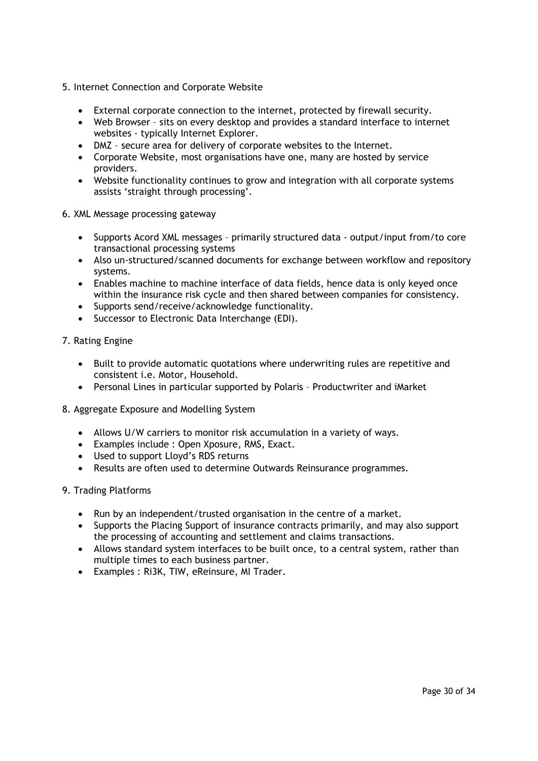- 5. Internet Connection and Corporate Website
	- External corporate connection to the internet, protected by firewall security.
	- Web Browser sits on every desktop and provides a standard interface to internet websites - typically Internet Explorer.
	- DMZ secure area for delivery of corporate websites to the Internet.
	- Corporate Website, most organisations have one, many are hosted by service providers.
	- Website functionality continues to grow and integration with all corporate systems assists 'straight through processing'.
- 6. XML Message processing gateway
	- Supports Acord XML messages primarily structured data output/input from/to core transactional processing systems
	- Also un-structured/scanned documents for exchange between workflow and repository systems.
	- Enables machine to machine interface of data fields, hence data is only keyed once within the insurance risk cycle and then shared between companies for consistency.
	- Supports send/receive/acknowledge functionality.
	- Successor to Electronic Data Interchange (EDI).
- 7. Rating Engine
	- Built to provide automatic quotations where underwriting rules are repetitive and consistent i.e. Motor, Household.
	- Personal Lines in particular supported by Polaris Productwriter and iMarket
- 8. Aggregate Exposure and Modelling System
	- Allows U/W carriers to monitor risk accumulation in a variety of ways.
	- Examples include : Open Xposure, RMS, Exact.
	- Used to support Lloyd's RDS returns
	- Results are often used to determine Outwards Reinsurance programmes.
- 9. Trading Platforms
	- Run by an independent/trusted organisation in the centre of a market.
	- Supports the Placing Support of insurance contracts primarily, and may also support the processing of accounting and settlement and claims transactions.
	- Allows standard system interfaces to be built once, to a central system, rather than multiple times to each business partner.
	- Examples : Ri3K, TIW, eReinsure, MI Trader.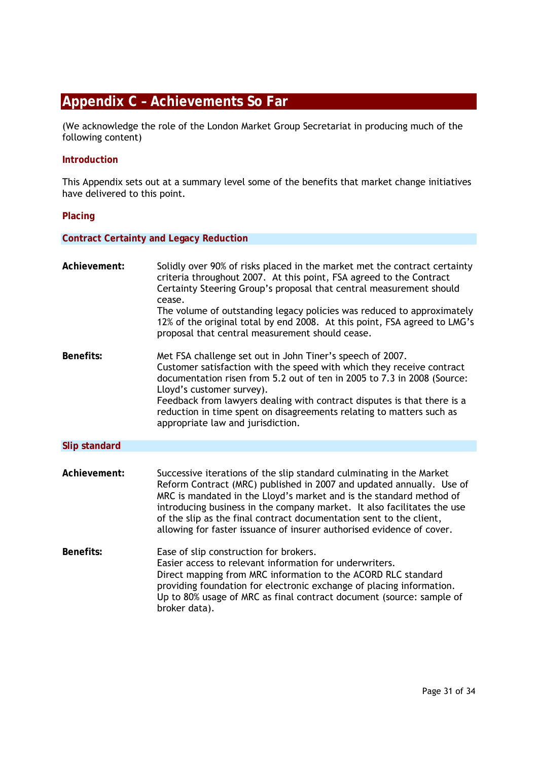# **Appendix C – Achievements So Far**

(We acknowledge the role of the London Market Group Secretariat in producing much of the following content)

#### **Introduction**

This Appendix sets out at a summary level some of the benefits that market change initiatives have delivered to this point.

#### **Placing**

**Contract Certainty and Legacy Reduction** 

| Achievement:     | Solidly over 90% of risks placed in the market met the contract certainty<br>criteria throughout 2007. At this point, FSA agreed to the Contract<br>Certainty Steering Group's proposal that central measurement should<br>cease.<br>The volume of outstanding legacy policies was reduced to approximately<br>12% of the original total by end 2008. At this point, FSA agreed to LMG's<br>proposal that central measurement should cease.    |
|------------------|------------------------------------------------------------------------------------------------------------------------------------------------------------------------------------------------------------------------------------------------------------------------------------------------------------------------------------------------------------------------------------------------------------------------------------------------|
| <b>Benefits:</b> | Met FSA challenge set out in John Tiner's speech of 2007.<br>Customer satisfaction with the speed with which they receive contract<br>documentation risen from 5.2 out of ten in 2005 to 7.3 in 2008 (Source:<br>Lloyd's customer survey).<br>Feedback from lawyers dealing with contract disputes is that there is a<br>reduction in time spent on disagreements relating to matters such as<br>appropriate law and jurisdiction.             |
| Slip standard    |                                                                                                                                                                                                                                                                                                                                                                                                                                                |
| Achievement:     | Successive iterations of the slip standard culminating in the Market<br>Reform Contract (MRC) published in 2007 and updated annually. Use of<br>MRC is mandated in the Lloyd's market and is the standard method of<br>introducing business in the company market. It also facilitates the use<br>of the slip as the final contract documentation sent to the client,<br>allowing for faster issuance of insurer authorised evidence of cover. |
| <b>Benefits:</b> | Ease of slip construction for brokers.<br>Easier access to relevant information for underwriters.<br>Direct mapping from MRC information to the ACORD RLC standard<br>providing foundation for electronic exchange of placing information.<br>Up to 80% usage of MRC as final contract document (source: sample of<br>broker data).                                                                                                            |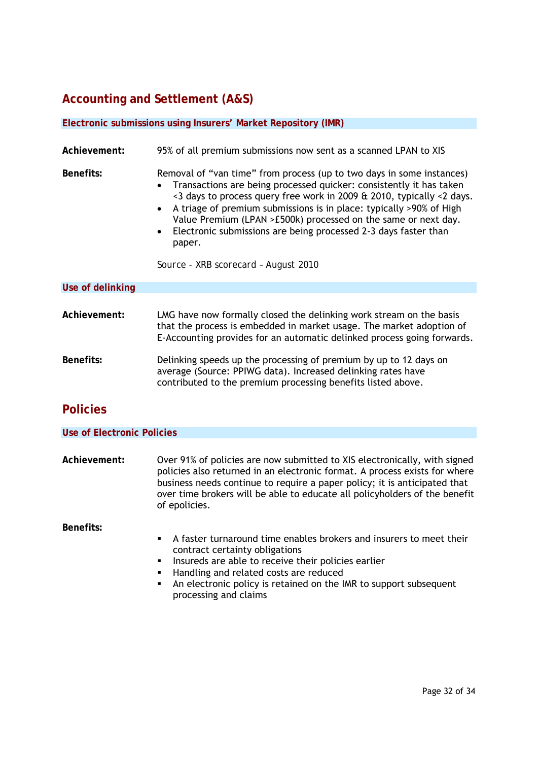### **Accounting and Settlement (A&S)**

|                                   | Electronic submissions using Insurers' Market Repository (IMR)                                                                                                                                                                                                                                                                                                                                                                                                                                    |
|-----------------------------------|---------------------------------------------------------------------------------------------------------------------------------------------------------------------------------------------------------------------------------------------------------------------------------------------------------------------------------------------------------------------------------------------------------------------------------------------------------------------------------------------------|
| Achievement:                      | 95% of all premium submissions now sent as a scanned LPAN to XIS                                                                                                                                                                                                                                                                                                                                                                                                                                  |
| <b>Benefits:</b>                  | Removal of "van time" from process (up to two days in some instances)<br>Transactions are being processed quicker: consistently it has taken<br><3 days to process query free work in 2009 & 2010, typically <2 days.<br>A triage of premium submissions is in place: typically >90% of High<br>$\bullet$<br>Value Premium (LPAN > £500k) processed on the same or next day.<br>Electronic submissions are being processed 2-3 days faster than<br>paper.<br>Source - XRB scorecard - August 2010 |
| Use of delinking                  |                                                                                                                                                                                                                                                                                                                                                                                                                                                                                                   |
|                                   |                                                                                                                                                                                                                                                                                                                                                                                                                                                                                                   |
| Achievement:                      | LMG have now formally closed the delinking work stream on the basis<br>that the process is embedded in market usage. The market adoption of<br>E-Accounting provides for an automatic delinked process going forwards.                                                                                                                                                                                                                                                                            |
| <b>Benefits:</b>                  | Delinking speeds up the processing of premium by up to 12 days on<br>average (Source: PPIWG data). Increased delinking rates have<br>contributed to the premium processing benefits listed above.                                                                                                                                                                                                                                                                                                 |
| <b>Policies</b>                   |                                                                                                                                                                                                                                                                                                                                                                                                                                                                                                   |
| <b>Use of Electronic Policies</b> |                                                                                                                                                                                                                                                                                                                                                                                                                                                                                                   |

**Achievement:** Over 91% of policies are now submitted to XIS electronically, with signed policies also returned in an electronic format. A process exists for where business needs continue to require a paper policy; it is anticipated that over time brokers will be able to educate all policyholders of the benefit of epolicies.

**Benefits:**

- A faster turnaround time enables brokers and insurers to meet their contract certainty obligations
- **Insureds are able to receive their policies earlier**
- Handling and related costs are reduced
- An electronic policy is retained on the IMR to support subsequent processing and claims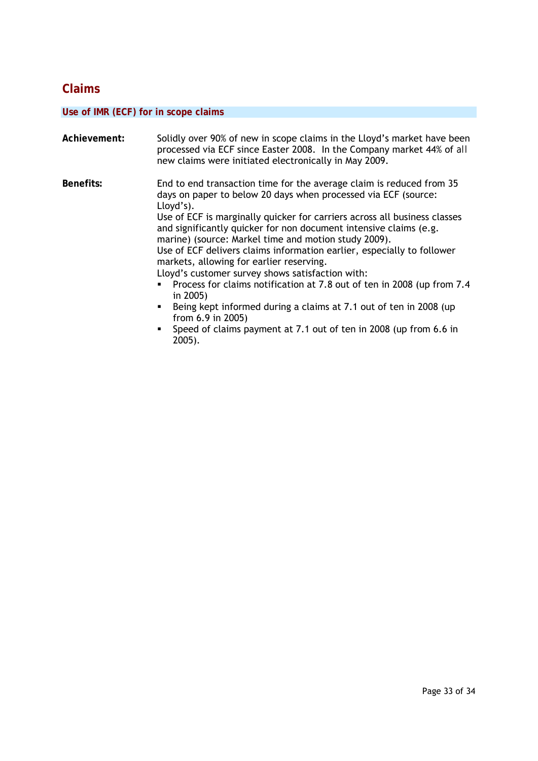### **Claims**

# **Use of IMR (ECF) for in scope claims**

| Achievement: | Solidly over 90% of new in scope claims in the Lloyd's market have been<br>processed via ECF since Easter 2008. In the Company market 44% of all<br>new claims were initiated electronically in May 2009.                                                                                                                                                                                                                                                                                                                                                                                                                                                                                                                                                                                                                        |
|--------------|----------------------------------------------------------------------------------------------------------------------------------------------------------------------------------------------------------------------------------------------------------------------------------------------------------------------------------------------------------------------------------------------------------------------------------------------------------------------------------------------------------------------------------------------------------------------------------------------------------------------------------------------------------------------------------------------------------------------------------------------------------------------------------------------------------------------------------|
| Benefits:    | End to end transaction time for the average claim is reduced from 35<br>days on paper to below 20 days when processed via ECF (source:<br>Lloyd's).<br>Use of ECF is marginally quicker for carriers across all business classes<br>and significantly quicker for non document intensive claims (e.g.<br>marine) (source: Markel time and motion study 2009).<br>Use of ECF delivers claims information earlier, especially to follower<br>markets, allowing for earlier reserving.<br>Lloyd's customer survey shows satisfaction with:<br>Process for claims notification at 7.8 out of ten in 2008 (up from 7.4<br>in 2005)<br>Being kept informed during a claims at 7.1 out of ten in 2008 (up<br>$\blacksquare$<br>from 6.9 in 2005)<br>Speed of claims payment at 7.1 out of ten in 2008 (up from 6.6 in<br>٠<br>$2005$ ). |